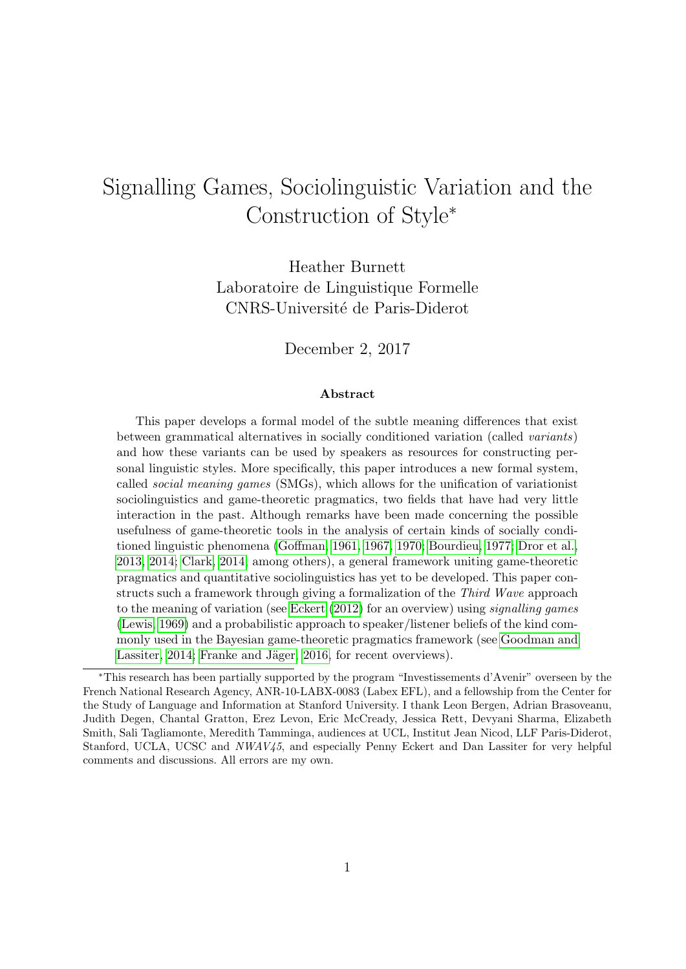# Signalling Games, Sociolinguistic Variation and the Construction of Style<sup>∗</sup>

Heather Burnett Laboratoire de Linguistique Formelle CNRS-Universit´e de Paris-Diderot

December 2, 2017

#### Abstract

This paper develops a formal model of the subtle meaning differences that exist between grammatical alternatives in socially conditioned variation (called variants) and how these variants can be used by speakers as resources for constructing personal linguistic styles. More specifically, this paper introduces a new formal system, called social meaning games (SMGs), which allows for the unification of variationist sociolinguistics and game-theoretic pragmatics, two fields that have had very little interaction in the past. Although remarks have been made concerning the possible usefulness of game-theoretic tools in the analysis of certain kinds of socially conditioned linguistic phenomena [\(Goffman, 1961,](#page-32-0) [1967,](#page-32-1) [1970;](#page-32-2) [Bourdieu, 1977;](#page-29-0) [Dror et al.,](#page-31-0) [2013,](#page-31-0) [2014;](#page-31-1) [Clark, 2014,](#page-31-2) among others), a general framework uniting game-theoretic pragmatics and quantitative sociolinguistics has yet to be developed. This paper constructs such a framework through giving a formalization of the Third Wave approach to the meaning of variation (see [Eckert](#page-32-3) [\(2012\)](#page-32-3) for an overview) using signalling games [\(Lewis, 1969\)](#page-34-0) and a probabilistic approach to speaker/listener beliefs of the kind commonly used in the Bayesian game-theoretic pragmatics framework (see [Goodman and](#page-32-4) [Lassiter, 2014;](#page-32-4) Franke and Jäger, 2016, for recent overviews).

<sup>∗</sup>This research has been partially supported by the program "Investissements d'Avenir" overseen by the French National Research Agency, ANR-10-LABX-0083 (Labex EFL), and a fellowship from the Center for the Study of Language and Information at Stanford University. I thank Leon Bergen, Adrian Brasoveanu, Judith Degen, Chantal Gratton, Erez Levon, Eric McCready, Jessica Rett, Devyani Sharma, Elizabeth Smith, Sali Tagliamonte, Meredith Tamminga, audiences at UCL, Institut Jean Nicod, LLF Paris-Diderot, Stanford, UCLA, UCSC and NWAV45, and especially Penny Eckert and Dan Lassiter for very helpful comments and discussions. All errors are my own.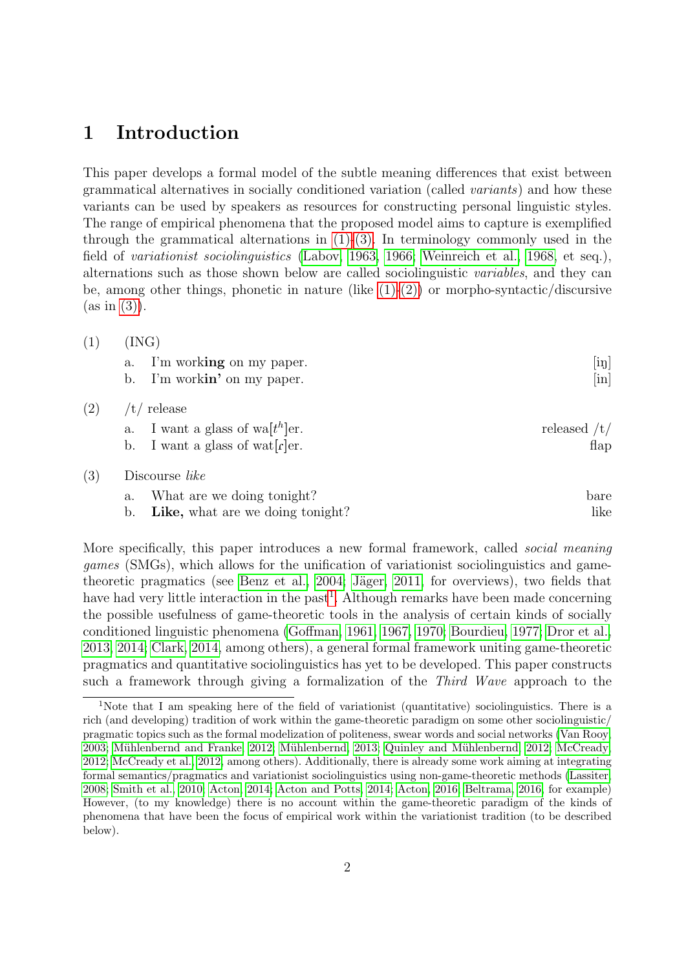## 1 Introduction

This paper develops a formal model of the subtle meaning differences that exist between grammatical alternatives in socially conditioned variation (called variants) and how these variants can be used by speakers as resources for constructing personal linguistic styles. The range of empirical phenomena that the proposed model aims to capture is exemplified through the grammatical alternations in  $(1)-(3)$ . In terminology commonly used in the field of variationist sociolinguistics [\(Labov, 1963,](#page-33-0) [1966;](#page-33-1) [Weinreich et al., 1968,](#page-36-0) et seq.), alternations such as those shown below are called sociolinguistic variables, and they can be, among other things, phonetic in nature (like  $(1)-(2)$ ) or morpho-syntactic/discursive  $(as in (3)).$  $(as in (3)).$  $(as in (3)).$ 

<span id="page-1-4"></span><span id="page-1-0"></span> $(1)$   $(ING)$ 

<span id="page-1-2"></span> $(2)$ 

<span id="page-1-1"></span> $(3)$ 

<span id="page-1-5"></span>

| I'm working on my paper.<br>а.                 | $[\mathrm{in}]$ |
|------------------------------------------------|-----------------|
| b. I'm workin' on my paper.                    | $[\text{in}]$   |
|                                                |                 |
| $/t/$ release                                  |                 |
| I want a glass of wa $[t^h]$ er.<br>a.         | released $/t/$  |
| b. I want a glass of wat $\lceil r \rceil$ er. | flap            |
|                                                |                 |
| Discourse like                                 |                 |
|                                                |                 |

| a. What are we doing tonight?       | bare |
|-------------------------------------|------|
| b. Like, what are we doing tonight? | lıke |

More specifically, this paper introduces a new formal framework, called social meaning games (SMGs), which allows for the unification of variationist sociolinguistics and gametheoretic pragmatics (see Benz et al.,  $2004$ ; Jäger,  $2011$ , for overviews), two fields that have had very little interaction in the past<sup>[1](#page-1-3)</sup>. Although remarks have been made concerning the possible usefulness of game-theoretic tools in the analysis of certain kinds of socially conditioned linguistic phenomena [\(Goffman, 1961,](#page-32-0) [1967,](#page-32-1) [1970;](#page-32-2) [Bourdieu, 1977;](#page-29-0) [Dror et al.,](#page-31-0) [2013,](#page-31-0) [2014;](#page-31-1) [Clark, 2014,](#page-31-2) among others), a general formal framework uniting game-theoretic pragmatics and quantitative sociolinguistics has yet to be developed. This paper constructs such a framework through giving a formalization of the Third Wave approach to the

<span id="page-1-3"></span><sup>1</sup>Note that I am speaking here of the field of variationist (quantitative) sociolinguistics. There is a rich (and developing) tradition of work within the game-theoretic paradigm on some other sociolinguistic/ pragmatic topics such as the formal modelization of politeness, swear words and social networks [\(Van Rooy,](#page-36-1) [2003;](#page-36-1) Mühlenbernd and Franke, 2012; Mühlenbernd, 2013; Quinley and Mühlenbernd, 2012; [McCready,](#page-34-3) [2012;](#page-34-3) [McCready et al., 2012,](#page-34-4) among others). Additionally, there is already some work aiming at integrating formal semantics/pragmatics and variationist sociolinguistics using non-game-theoretic methods [\(Lassiter,](#page-33-3) [2008;](#page-33-3) [Smith et al., 2010;](#page-36-2) [Acton, 2014;](#page-29-2) [Acton and Potts, 2014;](#page-29-3) [Acton, 2016;](#page-29-4) [Beltrama, 2016,](#page-29-5) for example) However, (to my knowledge) there is no account within the game-theoretic paradigm of the kinds of phenomena that have been the focus of empirical work within the variationist tradition (to be described below).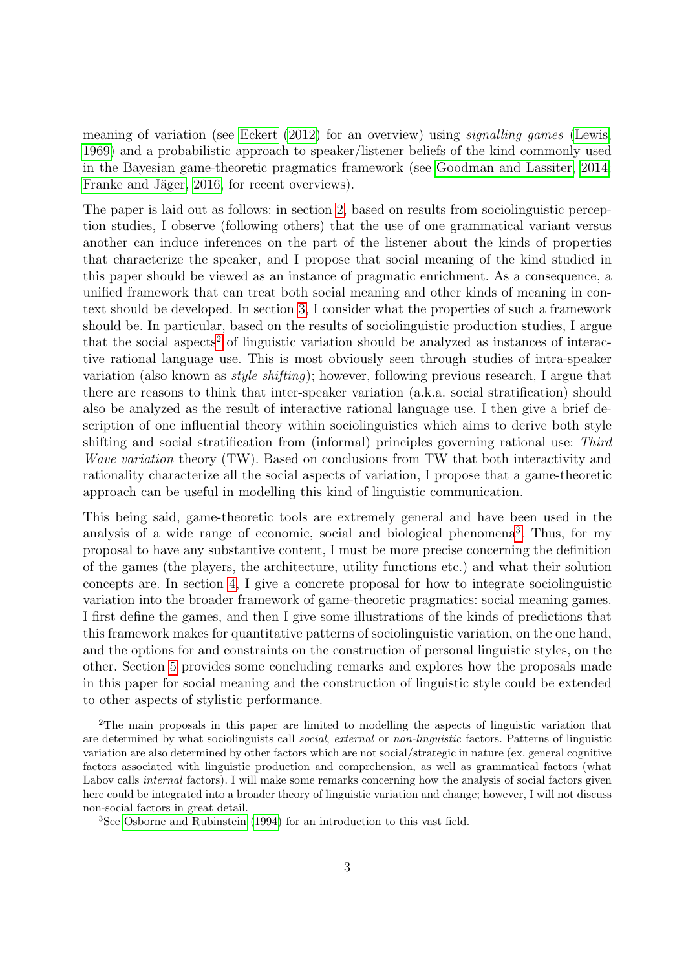meaning of variation (see [Eckert](#page-32-3) [\(2012\)](#page-32-3) for an overview) using signalling games [\(Lewis,](#page-34-0) [1969\)](#page-34-0) and a probabilistic approach to speaker/listener beliefs of the kind commonly used in the Bayesian game-theoretic pragmatics framework (see [Goodman and Lassiter, 2014;](#page-32-4) Franke and Jäger, 2016, for recent overviews).

The paper is laid out as follows: in section [2,](#page-3-0) based on results from sociolinguistic perception studies, I observe (following others) that the use of one grammatical variant versus another can induce inferences on the part of the listener about the kinds of properties that characterize the speaker, and I propose that social meaning of the kind studied in this paper should be viewed as an instance of pragmatic enrichment. As a consequence, a unified framework that can treat both social meaning and other kinds of meaning in context should be developed. In section [3,](#page-6-0) I consider what the properties of such a framework should be. In particular, based on the results of sociolinguistic production studies, I argue that the social aspects<sup>[2](#page-2-0)</sup> of linguistic variation should be analyzed as instances of interactive rational language use. This is most obviously seen through studies of intra-speaker variation (also known as style shifting); however, following previous research, I argue that there are reasons to think that inter-speaker variation (a.k.a. social stratification) should also be analyzed as the result of interactive rational language use. I then give a brief description of one influential theory within sociolinguistics which aims to derive both style shifting and social stratification from (informal) principles governing rational use: Third Wave variation theory (TW). Based on conclusions from TW that both interactivity and rationality characterize all the social aspects of variation, I propose that a game-theoretic approach can be useful in modelling this kind of linguistic communication.

This being said, game-theoretic tools are extremely general and have been used in the analysis of a wide range of economic, social and biological phenomena<sup>[3](#page-2-1)</sup>. Thus, for my proposal to have any substantive content, I must be more precise concerning the definition of the games (the players, the architecture, utility functions etc.) and what their solution concepts are. In section [4,](#page-12-0) I give a concrete proposal for how to integrate sociolinguistic variation into the broader framework of game-theoretic pragmatics: social meaning games. I first define the games, and then I give some illustrations of the kinds of predictions that this framework makes for quantitative patterns of sociolinguistic variation, on the one hand, and the options for and constraints on the construction of personal linguistic styles, on the other. Section [5](#page-28-0) provides some concluding remarks and explores how the proposals made in this paper for social meaning and the construction of linguistic style could be extended to other aspects of stylistic performance.

<span id="page-2-0"></span><sup>2</sup>The main proposals in this paper are limited to modelling the aspects of linguistic variation that are determined by what sociolinguists call social, external or non-linguistic factors. Patterns of linguistic variation are also determined by other factors which are not social/strategic in nature (ex. general cognitive factors associated with linguistic production and comprehension, as well as grammatical factors (what Labov calls *internal* factors). I will make some remarks concerning how the analysis of social factors given here could be integrated into a broader theory of linguistic variation and change; however, I will not discuss non-social factors in great detail.

<span id="page-2-1"></span><sup>&</sup>lt;sup>3</sup>See [Osborne and Rubinstein](#page-35-1) [\(1994\)](#page-35-1) for an introduction to this vast field.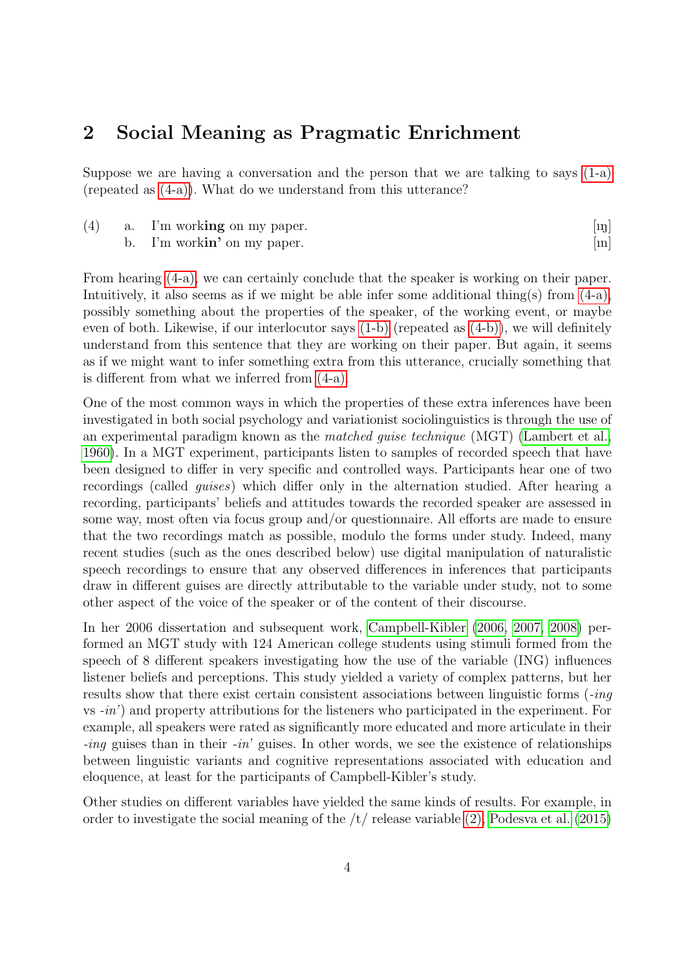## <span id="page-3-0"></span>2 Social Meaning as Pragmatic Enrichment

Suppose we are having a conversation and the person that we are talking to says  $(1-a)$ (repeated as [\(4-a\)\)](#page-3-1). What do we understand from this utterance?

<span id="page-3-2"></span><span id="page-3-1"></span>

| (4) | a. I'm working on my paper. | $\lfloor \mathbf{u} \rfloor$ |
|-----|-----------------------------|------------------------------|
|     | . I'm workin' on my paper.  | $\lfloor$ in]                |

From hearing [\(4-a\),](#page-3-1) we can certainly conclude that the speaker is working on their paper. Intuitively, it also seems as if we might be able infer some additional thing(s) from  $(4-a)$ , possibly something about the properties of the speaker, of the working event, or maybe even of both. Likewise, if our interlocutor says [\(1-b\)](#page-1-5) (repeated as [\(4-b\)\)](#page-3-2), we will definitely understand from this sentence that they are working on their paper. But again, it seems as if we might want to infer something extra from this utterance, crucially something that is different from what we inferred from [\(4-a\).](#page-3-1)

One of the most common ways in which the properties of these extra inferences have been investigated in both social psychology and variationist sociolinguistics is through the use of an experimental paradigm known as the matched guise technique (MGT) [\(Lambert et al.,](#page-33-4) [1960\)](#page-33-4). In a MGT experiment, participants listen to samples of recorded speech that have been designed to differ in very specific and controlled ways. Participants hear one of two recordings (called guises) which differ only in the alternation studied. After hearing a recording, participants' beliefs and attitudes towards the recorded speaker are assessed in some way, most often via focus group and/or questionnaire. All efforts are made to ensure that the two recordings match as possible, modulo the forms under study. Indeed, many recent studies (such as the ones described below) use digital manipulation of naturalistic speech recordings to ensure that any observed differences in inferences that participants draw in different guises are directly attributable to the variable under study, not to some other aspect of the voice of the speaker or of the content of their discourse.

In her 2006 dissertation and subsequent work, [Campbell-Kibler](#page-30-0) [\(2006,](#page-30-0) [2007,](#page-30-1) [2008\)](#page-30-2) performed an MGT study with 124 American college students using stimuli formed from the speech of 8 different speakers investigating how the use of the variable (ING) influences listener beliefs and perceptions. This study yielded a variety of complex patterns, but her results show that there exist certain consistent associations between linguistic forms (-ing  $\forall$  vs  $-i\pi$ <sup>'</sup>) and property attributions for the listeners who participated in the experiment. For example, all speakers were rated as significantly more educated and more articulate in their  $-i\eta g$  guises than in their  $-i\eta'$  guises. In other words, we see the existence of relationships between linguistic variants and cognitive representations associated with education and eloquence, at least for the participants of Campbell-Kibler's study.

Other studies on different variables have yielded the same kinds of results. For example, in order to investigate the social meaning of the  $/t/$  release variable [\(2\),](#page-1-2) [Podesva et al.](#page-35-2) [\(2015\)](#page-35-2)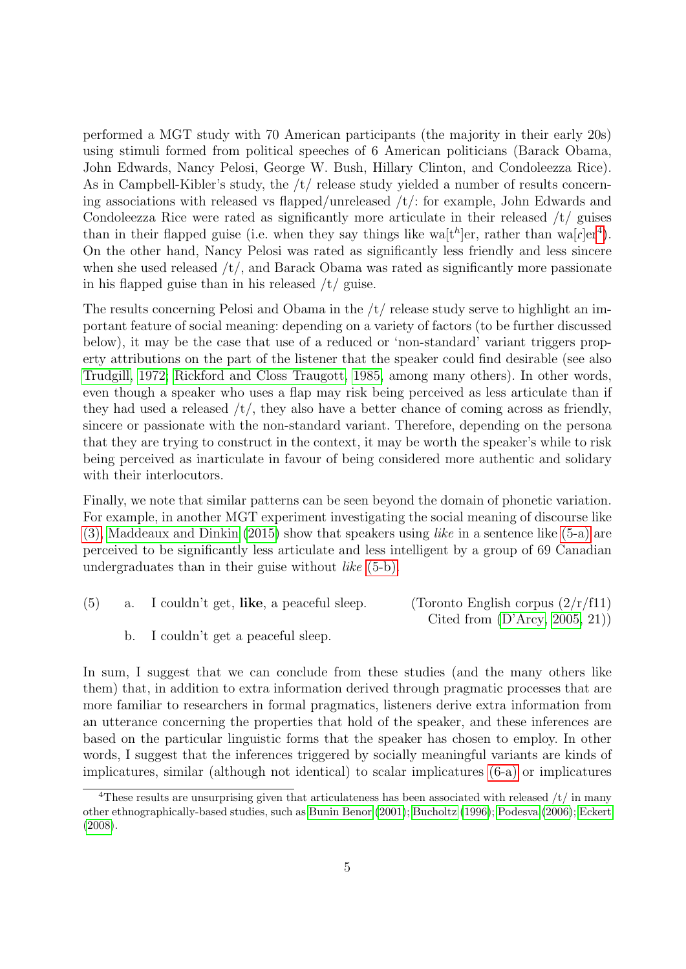performed a MGT study with 70 American participants (the majority in their early 20s) using stimuli formed from political speeches of 6 American politicians (Barack Obama, John Edwards, Nancy Pelosi, George W. Bush, Hillary Clinton, and Condoleezza Rice). As in Campbell-Kibler's study, the /t/ release study yielded a number of results concerning associations with released vs flapped/unreleased  $/t$ : for example, John Edwards and Condoleezza Rice were rated as significantly more articulate in their released /t/ guises than in their flapped guise (i.e. when they say things like wa<sup>[th</sup>]er, rather than wa<sup>[c]</sup>er<sup>[4](#page-4-0)</sup>). On the other hand, Nancy Pelosi was rated as significantly less friendly and less sincere when she used released  $/t/$ , and Barack Obama was rated as significantly more passionate in his flapped guise than in his released  $/t/$  guise.

The results concerning Pelosi and Obama in the /t/ release study serve to highlight an important feature of social meaning: depending on a variety of factors (to be further discussed below), it may be the case that use of a reduced or 'non-standard' variant triggers property attributions on the part of the listener that the speaker could find desirable (see also [Trudgill, 1972;](#page-36-3) [Rickford and Closs Traugott, 1985,](#page-35-3) among many others). In other words, even though a speaker who uses a flap may risk being perceived as less articulate than if they had used a released  $/t/$ , they also have a better chance of coming across as friendly, sincere or passionate with the non-standard variant. Therefore, depending on the persona that they are trying to construct in the context, it may be worth the speaker's while to risk being perceived as inarticulate in favour of being considered more authentic and solidary with their interlocutors.

Finally, we note that similar patterns can be seen beyond the domain of phonetic variation. For example, in another MGT experiment investigating the social meaning of discourse like [\(3\),](#page-1-1) [Maddeaux and Dinkin](#page-34-5) [\(2015\)](#page-34-5) show that speakers using like in a sentence like [\(5-a\)](#page-4-1) are perceived to be significantly less articulate and less intelligent by a group of 69 Canadian undergraduates than in their guise without like [\(5-b\).](#page-4-2)

<span id="page-4-2"></span><span id="page-4-1"></span>

| (5) | I couldn't get, like, a peaceful sleep. | (Toronto English corpus $\frac{2}{r}$ 11) |
|-----|-----------------------------------------|-------------------------------------------|
|     |                                         | Cited from $(D^{\prime}$ Arcy, 2005, 21)  |
|     | I couldn't get a peaceful sleep.        |                                           |

In sum, I suggest that we can conclude from these studies (and the many others like them) that, in addition to extra information derived through pragmatic processes that are more familiar to researchers in formal pragmatics, listeners derive extra information from an utterance concerning the properties that hold of the speaker, and these inferences are based on the particular linguistic forms that the speaker has chosen to employ. In other words, I suggest that the inferences triggered by socially meaningful variants are kinds of implicatures, similar (although not identical) to scalar implicatures [\(6-a\)](#page-5-0) or implicatures

<span id="page-4-0"></span><sup>&</sup>lt;sup>4</sup>These results are unsurprising given that articulateness has been associated with released  $/t/m$  many other ethnographically-based studies, such as [Bunin Benor](#page-30-3) [\(2001\)](#page-30-3); [Bucholtz](#page-30-4) [\(1996\)](#page-30-4); [Podesva](#page-35-4) [\(2006\)](#page-35-4); [Eckert](#page-32-6) [\(2008\)](#page-32-6).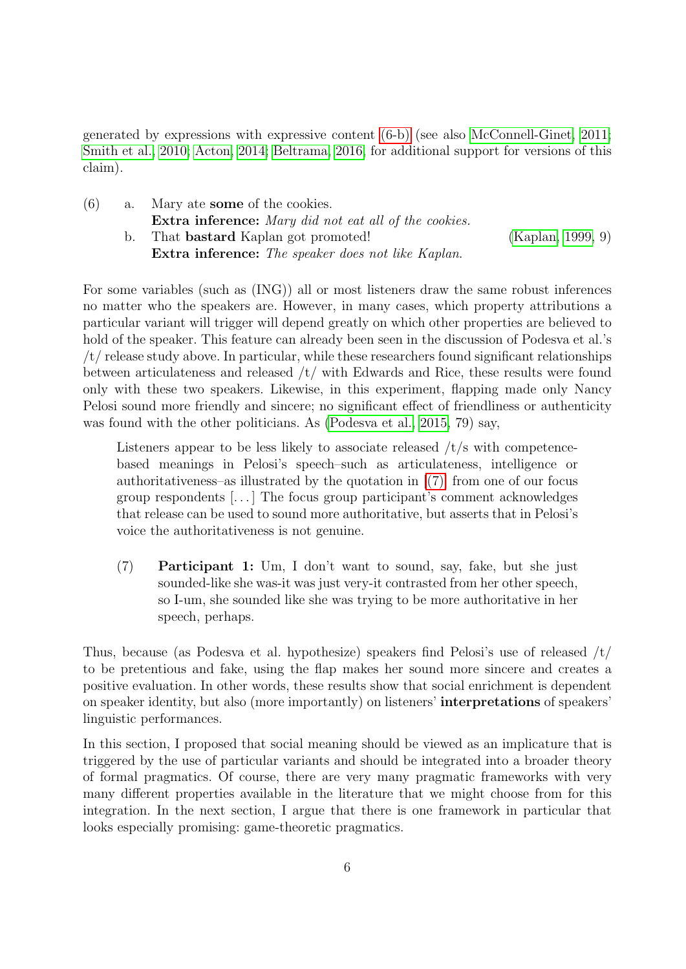generated by expressions with expressive content [\(6-b\)](#page-5-1) (see also [McConnell-Ginet, 2011;](#page-34-6) [Smith et al., 2010;](#page-36-2) [Acton, 2014;](#page-29-2) [Beltrama, 2016,](#page-29-5) for additional support for versions of this claim).

<span id="page-5-1"></span><span id="page-5-0"></span>(6) a. Mary ate some of the cookies. Extra inference: Mary did not eat all of the cookies. b. That bastard Kaplan got promoted! [\(Kaplan, 1999,](#page-33-5) 9) Extra inference: The speaker does not like Kaplan.

For some variables (such as (ING)) all or most listeners draw the same robust inferences no matter who the speakers are. However, in many cases, which property attributions a particular variant will trigger will depend greatly on which other properties are believed to hold of the speaker. This feature can already been seen in the discussion of Podesva et al.'s /t/ release study above. In particular, while these researchers found significant relationships between articulateness and released  $/t$  with Edwards and Rice, these results were found only with these two speakers. Likewise, in this experiment, flapping made only Nancy Pelosi sound more friendly and sincere; no significant effect of friendliness or authenticity was found with the other politicians. As [\(Podesva et al., 2015,](#page-35-2) 79) say,

Listeners appear to be less likely to associate released  $/t/s$  with competencebased meanings in Pelosi's speech–such as articulateness, intelligence or authoritativeness–as illustrated by the quotation in  $(7)$  from one of our focus group respondents [. . . ] The focus group participant's comment acknowledges that release can be used to sound more authoritative, but asserts that in Pelosi's voice the authoritativeness is not genuine.

<span id="page-5-2"></span>(7) Participant 1: Um, I don't want to sound, say, fake, but she just sounded-like she was-it was just very-it contrasted from her other speech, so I-um, she sounded like she was trying to be more authoritative in her speech, perhaps.

Thus, because (as Podesva et al. hypothesize) speakers find Pelosi's use of released /t/ to be pretentious and fake, using the flap makes her sound more sincere and creates a positive evaluation. In other words, these results show that social enrichment is dependent on speaker identity, but also (more importantly) on listeners' interpretations of speakers' linguistic performances.

In this section, I proposed that social meaning should be viewed as an implicature that is triggered by the use of particular variants and should be integrated into a broader theory of formal pragmatics. Of course, there are very many pragmatic frameworks with very many different properties available in the literature that we might choose from for this integration. In the next section, I argue that there is one framework in particular that looks especially promising: game-theoretic pragmatics.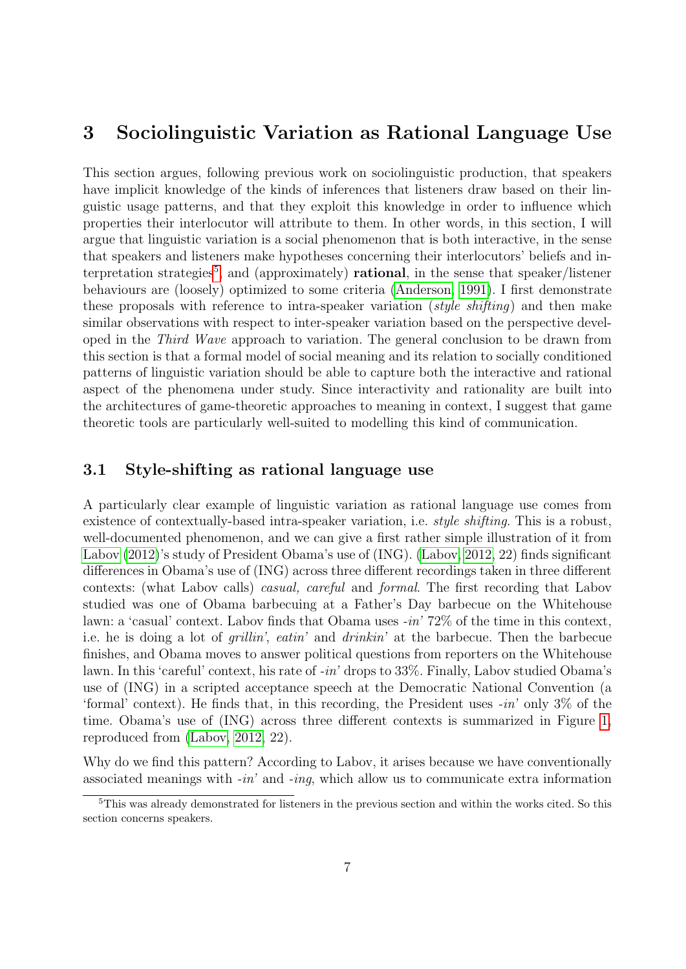# <span id="page-6-0"></span>3 Sociolinguistic Variation as Rational Language Use

This section argues, following previous work on sociolinguistic production, that speakers have implicit knowledge of the kinds of inferences that listeners draw based on their linguistic usage patterns, and that they exploit this knowledge in order to influence which properties their interlocutor will attribute to them. In other words, in this section, I will argue that linguistic variation is a social phenomenon that is both interactive, in the sense that speakers and listeners make hypotheses concerning their interlocutors' beliefs and in-terpretation strategies<sup>[5](#page-6-1)</sup>, and (approximately) **rational**, in the sense that speaker/listener behaviours are (loosely) optimized to some criteria [\(Anderson, 1991\)](#page-29-6). I first demonstrate these proposals with reference to intra-speaker variation (style shifting) and then make similar observations with respect to inter-speaker variation based on the perspective developed in the Third Wave approach to variation. The general conclusion to be drawn from this section is that a formal model of social meaning and its relation to socially conditioned patterns of linguistic variation should be able to capture both the interactive and rational aspect of the phenomena under study. Since interactivity and rationality are built into the architectures of game-theoretic approaches to meaning in context, I suggest that game theoretic tools are particularly well-suited to modelling this kind of communication.

#### 3.1 Style-shifting as rational language use

A particularly clear example of linguistic variation as rational language use comes from existence of contextually-based intra-speaker variation, i.e. *style shifting*. This is a robust, well-documented phenomenon, and we can give a first rather simple illustration of it from [Labov](#page-33-6) [\(2012\)](#page-33-6)'s study of President Obama's use of (ING). [\(Labov, 2012,](#page-33-6) 22) finds significant differences in Obama's use of (ING) across three different recordings taken in three different contexts: (what Labov calls) casual, careful and formal. The first recording that Labov studied was one of Obama barbecuing at a Father's Day barbecue on the Whitehouse lawn: a 'casual' context. Labov finds that Obama uses -in' 72% of the time in this context, i.e. he is doing a lot of grillin', eatin' and drinkin' at the barbecue. Then the barbecue finishes, and Obama moves to answer political questions from reporters on the Whitehouse lawn. In this 'careful' context, his rate of -in' drops to 33%. Finally, Labov studied Obama's use of (ING) in a scripted acceptance speech at the Democratic National Convention (a 'formal' context). He finds that, in this recording, the President uses  $-in'$  only 3% of the time. Obama's use of (ING) across three different contexts is summarized in Figure [1,](#page-7-0) reproduced from [\(Labov, 2012,](#page-33-6) 22).

Why do we find this pattern? According to Labov, it arises because we have conventionally associated meanings with  $-in'$  and  $-inq$ , which allow us to communicate extra information

<span id="page-6-1"></span><sup>5</sup>This was already demonstrated for listeners in the previous section and within the works cited. So this section concerns speakers.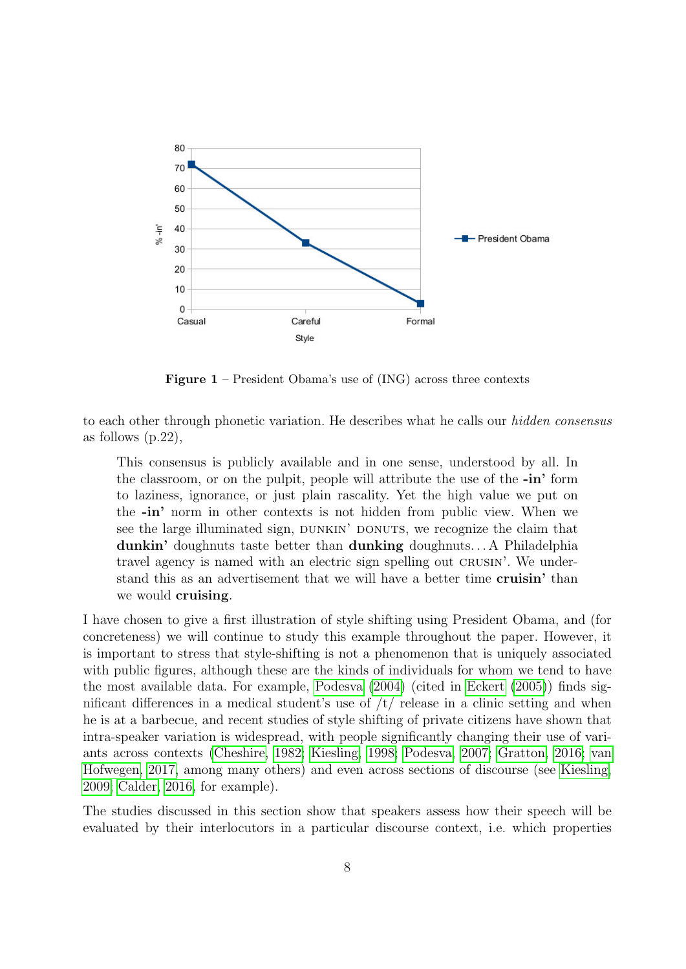<span id="page-7-0"></span>

Figure 1 – President Obama's use of (ING) across three contexts

to each other through phonetic variation. He describes what he calls our hidden consensus as follows (p.22),

This consensus is publicly available and in one sense, understood by all. In the classroom, or on the pulpit, people will attribute the use of the -in' form to laziness, ignorance, or just plain rascality. Yet the high value we put on the -in' norm in other contexts is not hidden from public view. When we see the large illuminated sign, DUNKIN' DONUTS, we recognize the claim that dunkin' doughnuts taste better than dunking doughnuts. . . A Philadelphia travel agency is named with an electric sign spelling out CRUSIN'. We understand this as an advertisement that we will have a better time cruisin' than we would cruising.

I have chosen to give a first illustration of style shifting using President Obama, and (for concreteness) we will continue to study this example throughout the paper. However, it is important to stress that style-shifting is not a phenomenon that is uniquely associated with public figures, although these are the kinds of individuals for whom we tend to have the most available data. For example, [Podesva](#page-35-5) [\(2004\)](#page-35-5) (cited in [Eckert](#page-32-7) [\(2005\)](#page-32-7)) finds significant differences in a medical student's use of  $/t/$  release in a clinic setting and when he is at a barbecue, and recent studies of style shifting of private citizens have shown that intra-speaker variation is widespread, with people significantly changing their use of variants across contexts [\(Cheshire, 1982;](#page-31-4) [Kiesling, 1998;](#page-33-7) [Podesva, 2007;](#page-35-6) [Gratton, 2016;](#page-32-8) [van](#page-36-4) [Hofwegen, 2017,](#page-36-4) among many others) and even across sections of discourse (see [Kiesling,](#page-33-8) [2009;](#page-33-8) [Calder, 2016,](#page-30-5) for example).

The studies discussed in this section show that speakers assess how their speech will be evaluated by their interlocutors in a particular discourse context, i.e. which properties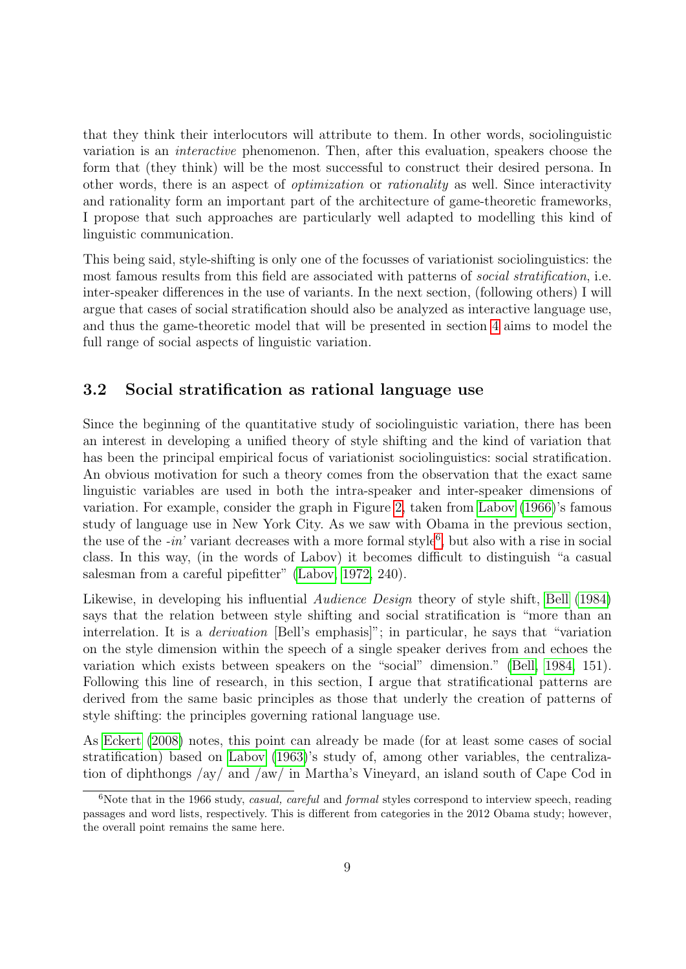that they think their interlocutors will attribute to them. In other words, sociolinguistic variation is an interactive phenomenon. Then, after this evaluation, speakers choose the form that (they think) will be the most successful to construct their desired persona. In other words, there is an aspect of optimization or rationality as well. Since interactivity and rationality form an important part of the architecture of game-theoretic frameworks, I propose that such approaches are particularly well adapted to modelling this kind of linguistic communication.

This being said, style-shifting is only one of the focusses of variationist sociolinguistics: the most famous results from this field are associated with patterns of *social stratification*, i.e. inter-speaker differences in the use of variants. In the next section, (following others) I will argue that cases of social stratification should also be analyzed as interactive language use, and thus the game-theoretic model that will be presented in section [4](#page-12-0) aims to model the full range of social aspects of linguistic variation.

### 3.2 Social stratification as rational language use

Since the beginning of the quantitative study of sociolinguistic variation, there has been an interest in developing a unified theory of style shifting and the kind of variation that has been the principal empirical focus of variationist sociolinguistics: social stratification. An obvious motivation for such a theory comes from the observation that the exact same linguistic variables are used in both the intra-speaker and inter-speaker dimensions of variation. For example, consider the graph in Figure [2,](#page-9-0) taken from [Labov](#page-33-1) [\(1966\)](#page-33-1)'s famous study of language use in New York City. As we saw with Obama in the previous section, the use of the  $-in'$  variant decreases with a more formal style<sup>[6](#page-8-0)</sup>, but also with a rise in social class. In this way, (in the words of Labov) it becomes difficult to distinguish "a casual salesman from a careful pipefitter" [\(Labov, 1972,](#page-33-9) 240).

Likewise, in developing his influential Audience Design theory of style shift, [Bell](#page-29-7) [\(1984\)](#page-29-7) says that the relation between style shifting and social stratification is "more than an interrelation. It is a *derivation* [Bell's emphasis]"; in particular, he says that "variation" on the style dimension within the speech of a single speaker derives from and echoes the variation which exists between speakers on the "social" dimension." [\(Bell, 1984,](#page-29-7) 151). Following this line of research, in this section, I argue that stratificational patterns are derived from the same basic principles as those that underly the creation of patterns of style shifting: the principles governing rational language use.

As [Eckert](#page-32-6) [\(2008\)](#page-32-6) notes, this point can already be made (for at least some cases of social stratification) based on [Labov](#page-33-0) [\(1963\)](#page-33-0)'s study of, among other variables, the centralization of diphthongs /ay/ and /aw/ in Martha's Vineyard, an island south of Cape Cod in

<span id="page-8-0"></span> $6N$ ote that in the 1966 study, *casual, careful* and *formal* styles correspond to interview speech, reading passages and word lists, respectively. This is different from categories in the 2012 Obama study; however, the overall point remains the same here.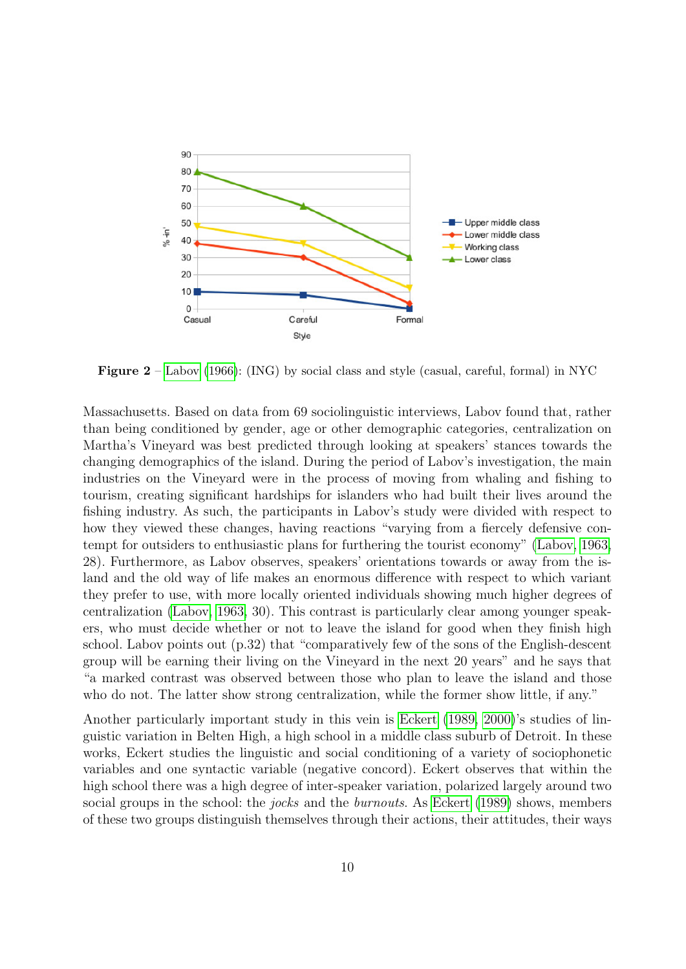<span id="page-9-0"></span>

Figure 2 – [Labov](#page-33-1) [\(1966\)](#page-33-1): (ING) by social class and style (casual, careful, formal) in NYC

Massachusetts. Based on data from 69 sociolinguistic interviews, Labov found that, rather than being conditioned by gender, age or other demographic categories, centralization on Martha's Vineyard was best predicted through looking at speakers' stances towards the changing demographics of the island. During the period of Labov's investigation, the main industries on the Vineyard were in the process of moving from whaling and fishing to tourism, creating significant hardships for islanders who had built their lives around the fishing industry. As such, the participants in Labov's study were divided with respect to how they viewed these changes, having reactions "varying from a fiercely defensive contempt for outsiders to enthusiastic plans for furthering the tourist economy" [\(Labov, 1963,](#page-33-0) 28). Furthermore, as Labov observes, speakers' orientations towards or away from the island and the old way of life makes an enormous difference with respect to which variant they prefer to use, with more locally oriented individuals showing much higher degrees of centralization [\(Labov, 1963,](#page-33-0) 30). This contrast is particularly clear among younger speakers, who must decide whether or not to leave the island for good when they finish high school. Labov points out (p.32) that "comparatively few of the sons of the English-descent group will be earning their living on the Vineyard in the next 20 years" and he says that "a marked contrast was observed between those who plan to leave the island and those who do not. The latter show strong centralization, while the former show little, if any."

Another particularly important study in this vein is [Eckert](#page-31-5) [\(1989,](#page-31-5) [2000\)](#page-32-9)'s studies of linguistic variation in Belten High, a high school in a middle class suburb of Detroit. In these works, Eckert studies the linguistic and social conditioning of a variety of sociophonetic variables and one syntactic variable (negative concord). Eckert observes that within the high school there was a high degree of inter-speaker variation, polarized largely around two social groups in the school: the *jocks* and the *burnouts*. As [Eckert](#page-31-5) [\(1989\)](#page-31-5) shows, members of these two groups distinguish themselves through their actions, their attitudes, their ways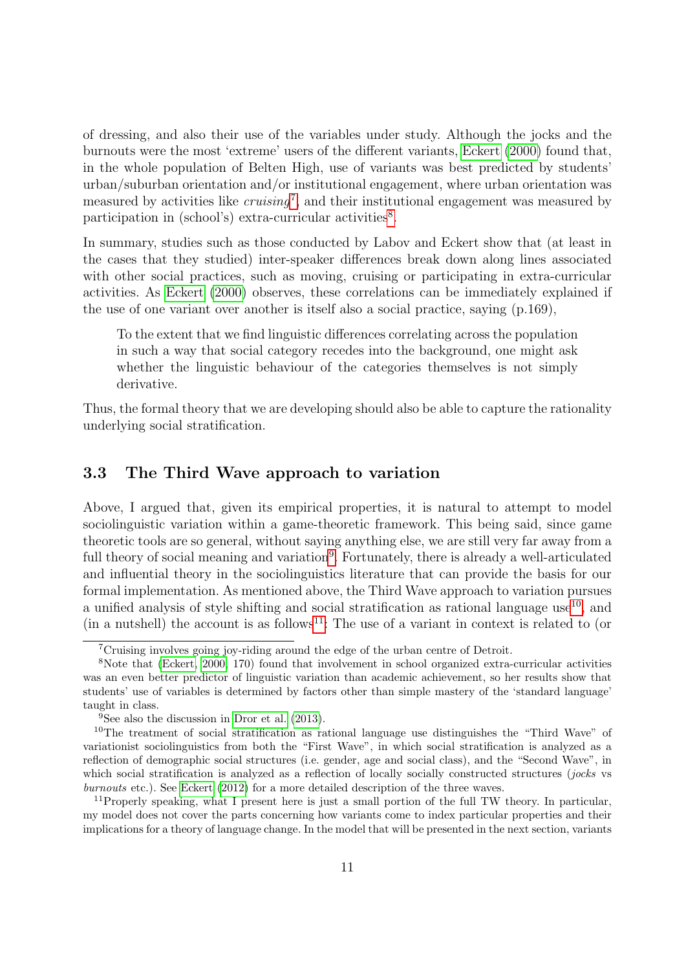of dressing, and also their use of the variables under study. Although the jocks and the burnouts were the most 'extreme' users of the different variants, [Eckert](#page-32-9) [\(2000\)](#page-32-9) found that, in the whole population of Belten High, use of variants was best predicted by students' urban/suburban orientation and/or institutional engagement, where urban orientation was measured by activities like  $cruising^7$  $cruising^7$ , and their institutional engagement was measured by participation in (school's) extra-curricular activities<sup>[8](#page-10-1)</sup>.

In summary, studies such as those conducted by Labov and Eckert show that (at least in the cases that they studied) inter-speaker differences break down along lines associated with other social practices, such as moving, cruising or participating in extra-curricular activities. As [Eckert](#page-32-9) [\(2000\)](#page-32-9) observes, these correlations can be immediately explained if the use of one variant over another is itself also a social practice, saying (p.169),

To the extent that we find linguistic differences correlating across the population in such a way that social category recedes into the background, one might ask whether the linguistic behaviour of the categories themselves is not simply derivative.

Thus, the formal theory that we are developing should also be able to capture the rationality underlying social stratification.

#### 3.3 The Third Wave approach to variation

Above, I argued that, given its empirical properties, it is natural to attempt to model sociolinguistic variation within a game-theoretic framework. This being said, since game theoretic tools are so general, without saying anything else, we are still very far away from a full theory of social meaning and variation<sup>[9](#page-10-2)</sup>. Fortunately, there is already a well-articulated and influential theory in the sociolinguistics literature that can provide the basis for our formal implementation. As mentioned above, the Third Wave approach to variation pursues a unified analysis of style shifting and social stratification as rational language use<sup>[10](#page-10-3)</sup>, and (in a nutshell) the account is as follows<sup>[11](#page-10-4)</sup>: The use of a variant in context is related to (or

<span id="page-10-1"></span><span id="page-10-0"></span><sup>7</sup>Cruising involves going joy-riding around the edge of the urban centre of Detroit.

<sup>8</sup>Note that [\(Eckert, 2000,](#page-32-9) 170) found that involvement in school organized extra-curricular activities was an even better predictor of linguistic variation than academic achievement, so her results show that students' use of variables is determined by factors other than simple mastery of the 'standard language' taught in class.

<span id="page-10-3"></span><span id="page-10-2"></span> ${}^{9}$ See also the discussion in [Dror et al.](#page-31-0) [\(2013\)](#page-31-0).

<sup>&</sup>lt;sup>10</sup>The treatment of social stratification as rational language use distinguishes the "Third Wave" of variationist sociolinguistics from both the "First Wave", in which social stratification is analyzed as a reflection of demographic social structures (i.e. gender, age and social class), and the "Second Wave", in which social stratification is analyzed as a reflection of locally socially constructed structures (jocks vs burnouts etc.). See [Eckert](#page-32-3) [\(2012\)](#page-32-3) for a more detailed description of the three waves.

<span id="page-10-4"></span><sup>11</sup>Properly speaking, what I present here is just a small portion of the full TW theory. In particular, my model does not cover the parts concerning how variants come to index particular properties and their implications for a theory of language change. In the model that will be presented in the next section, variants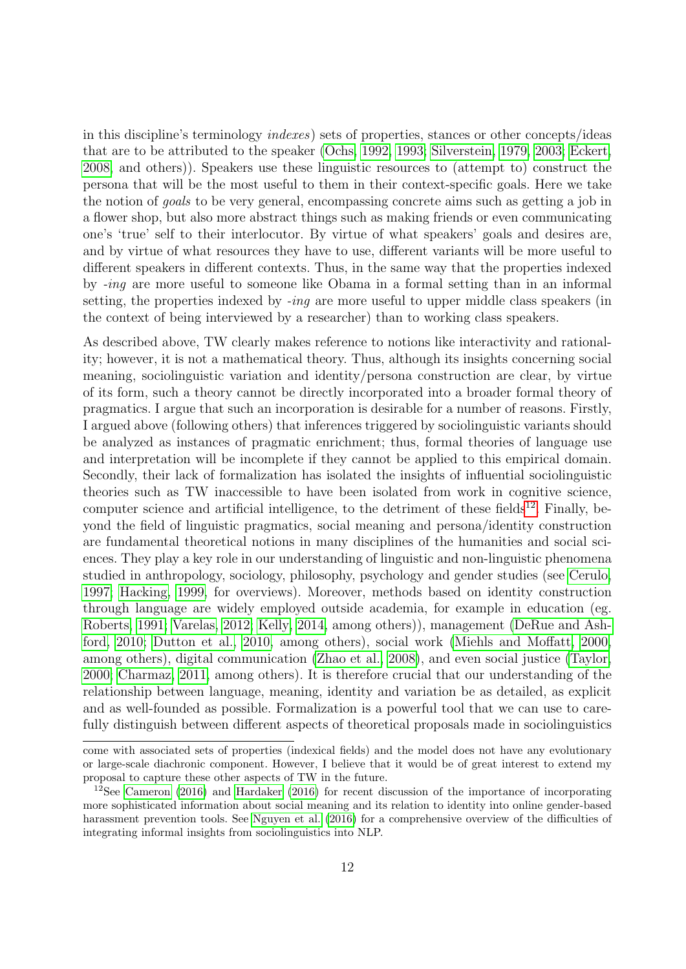in this discipline's terminology indexes) sets of properties, stances or other concepts/ideas that are to be attributed to the speaker [\(Ochs, 1992,](#page-34-7) [1993;](#page-35-7) [Silverstein, 1979,](#page-35-8) [2003;](#page-35-9) [Eckert,](#page-32-6) [2008,](#page-32-6) and others)). Speakers use these linguistic resources to (attempt to) construct the persona that will be the most useful to them in their context-specific goals. Here we take the notion of goals to be very general, encompassing concrete aims such as getting a job in a flower shop, but also more abstract things such as making friends or even communicating one's 'true' self to their interlocutor. By virtue of what speakers' goals and desires are, and by virtue of what resources they have to use, different variants will be more useful to different speakers in different contexts. Thus, in the same way that the properties indexed by -ing are more useful to someone like Obama in a formal setting than in an informal setting, the properties indexed by *-ing* are more useful to upper middle class speakers (in the context of being interviewed by a researcher) than to working class speakers.

As described above, TW clearly makes reference to notions like interactivity and rationality; however, it is not a mathematical theory. Thus, although its insights concerning social meaning, sociolinguistic variation and identity/persona construction are clear, by virtue of its form, such a theory cannot be directly incorporated into a broader formal theory of pragmatics. I argue that such an incorporation is desirable for a number of reasons. Firstly, I argued above (following others) that inferences triggered by sociolinguistic variants should be analyzed as instances of pragmatic enrichment; thus, formal theories of language use and interpretation will be incomplete if they cannot be applied to this empirical domain. Secondly, their lack of formalization has isolated the insights of influential sociolinguistic theories such as TW inaccessible to have been isolated from work in cognitive science, computer science and artificial intelligence, to the detriment of these fields<sup>[12](#page-11-0)</sup>. Finally, beyond the field of linguistic pragmatics, social meaning and persona/identity construction are fundamental theoretical notions in many disciplines of the humanities and social sciences. They play a key role in our understanding of linguistic and non-linguistic phenomena studied in anthropology, sociology, philosophy, psychology and gender studies (see [Cerulo,](#page-31-6) [1997;](#page-31-6) [Hacking, 1999,](#page-32-10) for overviews). Moreover, methods based on identity construction through language are widely employed outside academia, for example in education (eg. [Roberts, 1991;](#page-35-10) [Varelas, 2012;](#page-36-5) [Kelly, 2014,](#page-33-10) among others)), management [\(DeRue and Ash](#page-31-7)[ford, 2010;](#page-31-7) [Dutton et al., 2010,](#page-31-8) among others), social work [\(Miehls and Moffatt, 2000,](#page-34-8) among others), digital communication [\(Zhao et al., 2008\)](#page-37-0), and even social justice [\(Taylor,](#page-36-6) [2000;](#page-36-6) [Charmaz, 2011,](#page-31-9) among others). It is therefore crucial that our understanding of the relationship between language, meaning, identity and variation be as detailed, as explicit and as well-founded as possible. Formalization is a powerful tool that we can use to carefully distinguish between different aspects of theoretical proposals made in sociolinguistics

come with associated sets of properties (indexical fields) and the model does not have any evolutionary or large-scale diachronic component. However, I believe that it would be of great interest to extend my proposal to capture these other aspects of TW in the future.

<span id="page-11-0"></span><sup>12</sup>See [Cameron](#page-30-6) [\(2016\)](#page-30-6) and [Hardaker](#page-32-11) [\(2016\)](#page-32-11) for recent discussion of the importance of incorporating more sophisticated information about social meaning and its relation to identity into online gender-based harassment prevention tools. See [Nguyen et al.](#page-34-9) [\(2016\)](#page-34-9) for a comprehensive overview of the difficulties of integrating informal insights from sociolinguistics into NLP.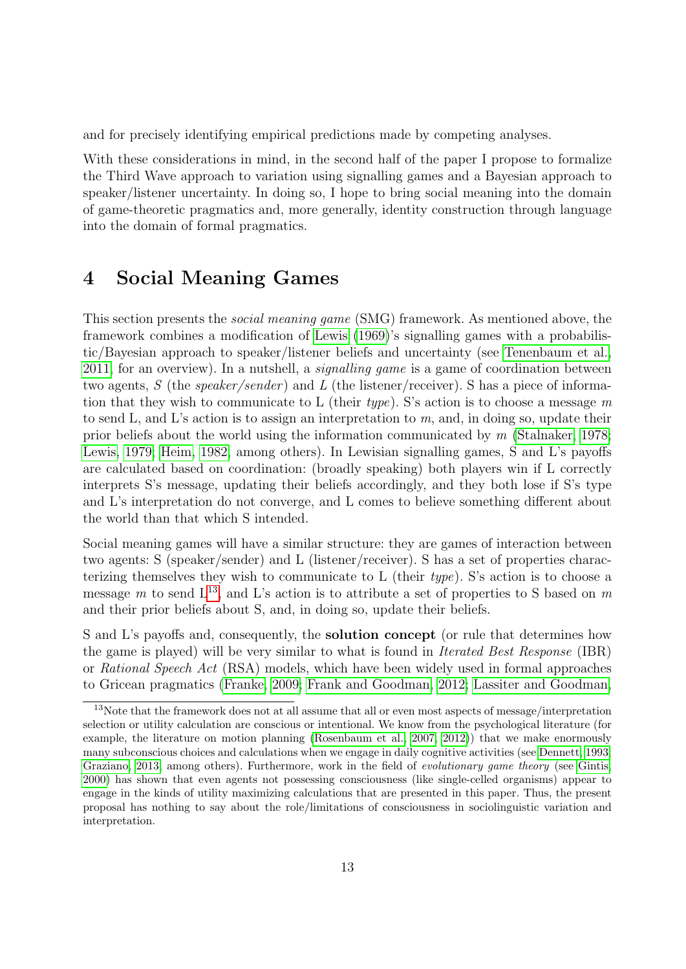and for precisely identifying empirical predictions made by competing analyses.

With these considerations in mind, in the second half of the paper I propose to formalize the Third Wave approach to variation using signalling games and a Bayesian approach to speaker/listener uncertainty. In doing so, I hope to bring social meaning into the domain of game-theoretic pragmatics and, more generally, identity construction through language into the domain of formal pragmatics.

# <span id="page-12-0"></span>4 Social Meaning Games

This section presents the social meaning game (SMG) framework. As mentioned above, the framework combines a modification of [Lewis](#page-34-0) [\(1969\)](#page-34-0)'s signalling games with a probabilistic/Bayesian approach to speaker/listener beliefs and uncertainty (see [Tenenbaum et al.,](#page-36-7) [2011,](#page-36-7) for an overview). In a nutshell, a *signalling game* is a game of coordination between two agents, S (the speaker/sender) and L (the listener/receiver). S has a piece of information that they wish to communicate to L (their type). S's action is to choose a message m to send L, and L's action is to assign an interpretation to  $m$ , and, in doing so, update their prior beliefs about the world using the information communicated by m [\(Stalnaker, 1978;](#page-36-8) [Lewis, 1979;](#page-34-10) [Heim, 1982,](#page-33-11) among others). In Lewisian signalling games, S and L's payoffs are calculated based on coordination: (broadly speaking) both players win if L correctly interprets S's message, updating their beliefs accordingly, and they both lose if S's type and L's interpretation do not converge, and L comes to believe something different about the world than that which S intended.

Social meaning games will have a similar structure: they are games of interaction between two agents: S (speaker/sender) and L (listener/receiver). S has a set of properties characterizing themselves they wish to communicate to L (their type). S's action is to choose a message m to send  $L^{13}$  $L^{13}$  $L^{13}$ , and L's action is to attribute a set of properties to S based on m and their prior beliefs about S, and, in doing so, update their beliefs.

S and L's payoffs and, consequently, the solution concept (or rule that determines how the game is played) will be very similar to what is found in Iterated Best Response (IBR) or Rational Speech Act (RSA) models, which have been widely used in formal approaches to Gricean pragmatics [\(Franke, 2009;](#page-32-12) [Frank and Goodman, 2012;](#page-32-13) [Lassiter and Goodman,](#page-33-12)

<span id="page-12-1"></span><sup>&</sup>lt;sup>13</sup>Note that the framework does not at all assume that all or even most aspects of message/interpretation selection or utility calculation are conscious or intentional. We know from the psychological literature (for example, the literature on motion planning [\(Rosenbaum et al., 2007,](#page-35-11) [2012\)](#page-35-12)) that we make enormously many subconscious choices and calculations when we engage in daily cognitive activities (see [Dennett, 1993;](#page-31-10) [Graziano, 2013,](#page-32-14) among others). Furthermore, work in the field of evolutionary game theory (see [Gintis,](#page-32-15) [2000\)](#page-32-15) has shown that even agents not possessing consciousness (like single-celled organisms) appear to engage in the kinds of utility maximizing calculations that are presented in this paper. Thus, the present proposal has nothing to say about the role/limitations of consciousness in sociolinguistic variation and interpretation.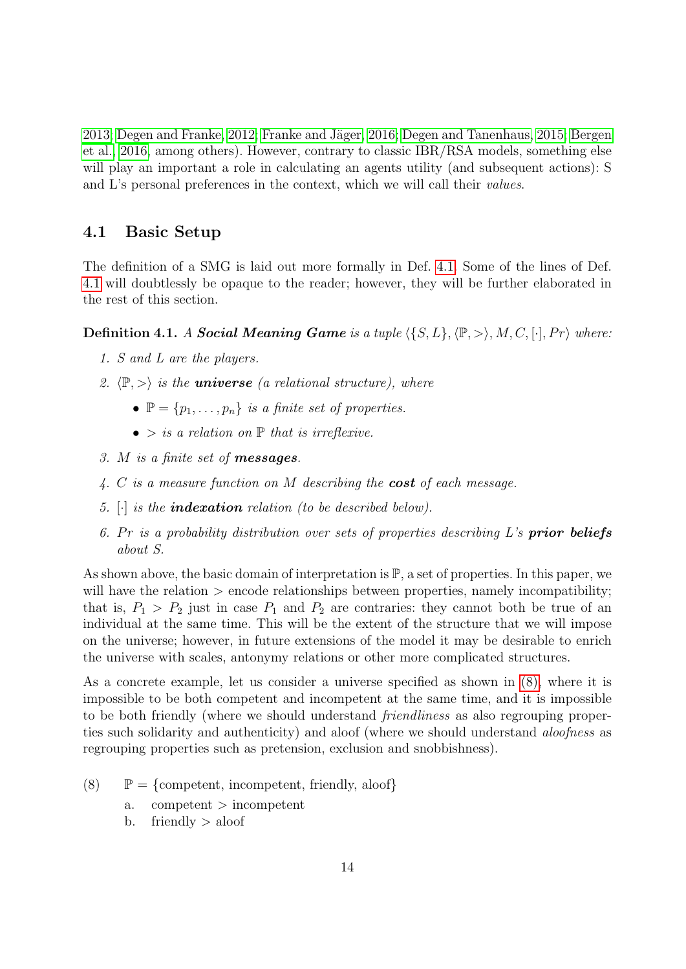[2013;](#page-33-12) [Degen and Franke, 2012;](#page-31-11) Franke and Jäger, 2016; [Degen and Tanenhaus, 2015;](#page-31-12) [Bergen](#page-29-8) [et al., 2016,](#page-29-8) among others). However, contrary to classic IBR/RSA models, something else will play an important a role in calculating an agents utility (and subsequent actions): S and L's personal preferences in the context, which we will call their values.

#### <span id="page-13-2"></span>4.1 Basic Setup

The definition of a SMG is laid out more formally in Def. [4.1.](#page-13-0) Some of the lines of Def. [4.1](#page-13-0) will doubtlessly be opaque to the reader; however, they will be further elaborated in the rest of this section.

<span id="page-13-0"></span>**Definition 4.1.** A **Social Meaning Game** is a tuple  $\{S, L\}, \langle \mathbb{P}, \rangle, M, C, [\cdot], Pr \rangle$  where:

- 1. S and L are the players.
- 2.  $\langle \mathbb{P}, \rangle$  is the **universe** (a relational structure), where
	- $\mathbb{P} = \{p_1, \ldots, p_n\}$  is a finite set of properties.
	- $\bullet$  > is a relation on  $\mathbb P$  that is irreflexive.
- 3. M is a finite set of messages.
- 4. C is a measure function on M describing the cost of each message.
- 5.  $\lceil \cdot \rceil$  is the **indexation** relation (to be described below).
- 6. Pr is a probability distribution over sets of properties describing  $L$ 's **prior beliefs** about S.

As shown above, the basic domain of interpretation is  $\mathbb{P}$ , a set of properties. In this paper, we will have the relation  $\geq$  encode relationships between properties, namely incompatibility; that is,  $P_1 > P_2$  just in case  $P_1$  and  $P_2$  are contraries: they cannot both be true of an individual at the same time. This will be the extent of the structure that we will impose on the universe; however, in future extensions of the model it may be desirable to enrich the universe with scales, antonymy relations or other more complicated structures.

As a concrete example, let us consider a universe specified as shown in [\(8\),](#page-13-1) where it is impossible to be both competent and incompetent at the same time, and it is impossible to be both friendly (where we should understand friendliness as also regrouping properties such solidarity and authenticity) and aloof (where we should understand *aloofness* as regrouping properties such as pretension, exclusion and snobbishness).

- <span id="page-13-1"></span>(8)  $\mathbb{P} = \{\text{compact, incomplete, friendly, a} \}$ 
	- a. competent > incompetent
	- b. friendly  $>$  aloof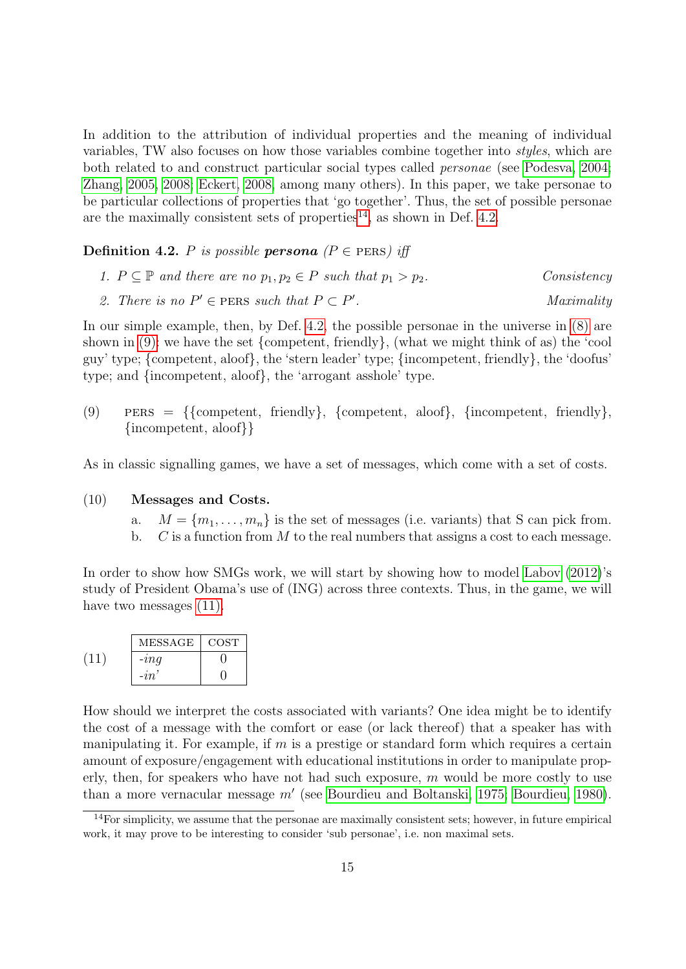In addition to the attribution of individual properties and the meaning of individual variables, TW also focuses on how those variables combine together into styles, which are both related to and construct particular social types called personae (see [Podesva, 2004;](#page-35-5) [Zhang, 2005,](#page-37-1) [2008;](#page-37-2) [Eckert, 2008,](#page-32-6) among many others). In this paper, we take personae to be particular collections of properties that 'go together'. Thus, the set of possible personae are the maximally consistent sets of properties<sup>[14](#page-14-0)</sup>, as shown in Def. [4.2.](#page-14-1)

#### <span id="page-14-1"></span>**Definition 4.2.** P is possible **persona**  $(P \in PERS)$  iff

| 1. $P \subseteq \mathbb{P}$ and there are no $p_1, p_2 \in P$ such that $p_1 > p_2$ . | Consistency |
|---------------------------------------------------------------------------------------|-------------|
|---------------------------------------------------------------------------------------|-------------|

2. There is no  $P' \in$  PERS such that  $P \subset P'$ . Maximality

In our simple example, then, by Def. [4.2,](#page-14-1) the possible personae in the universe in [\(8\)](#page-13-1) are shown in  $(9)$ : we have the set {competent, friendly}, (what we might think of as) the 'cool guy' type; {competent, aloof}, the 'stern leader' type; {incompetent, friendly}, the 'doofus' type; and {incompetent, aloof}, the 'arrogant asshole' type.

<span id="page-14-2"></span>(9) PERS = {{competent, friendly}, {competent, aloof}, {incompetent, friendly}, {incompetent, aloof}}

As in classic signalling games, we have a set of messages, which come with a set of costs.

#### (10) Messages and Costs.

- a.  $M = \{m_1, \ldots, m_n\}$  is the set of messages (i.e. variants) that S can pick from.
- b.  $C$  is a function from  $M$  to the real numbers that assigns a cost to each message.

In order to show how SMGs work, we will start by showing how to model [Labov](#page-33-6) [\(2012\)](#page-33-6)'s study of President Obama's use of (ING) across three contexts. Thus, in the game, we will have two messages  $(11)$ .

<span id="page-14-3"></span>

| MESSAGE         | COST |
|-----------------|------|
| $-mq$           |      |
| $-i n^{\prime}$ |      |

How should we interpret the costs associated with variants? One idea might be to identify the cost of a message with the comfort or ease (or lack thereof) that a speaker has with manipulating it. For example, if  $m$  is a prestige or standard form which requires a certain amount of exposure/engagement with educational institutions in order to manipulate properly, then, for speakers who have not had such exposure,  $m$  would be more costly to use than a more vernacular message  $m'$  (see [Bourdieu and Boltanski, 1975;](#page-30-7) [Bourdieu, 1980\)](#page-29-9).

<span id="page-14-0"></span> $14$ For simplicity, we assume that the personae are maximally consistent sets; however, in future empirical work, it may prove to be interesting to consider 'sub personae', i.e. non maximal sets.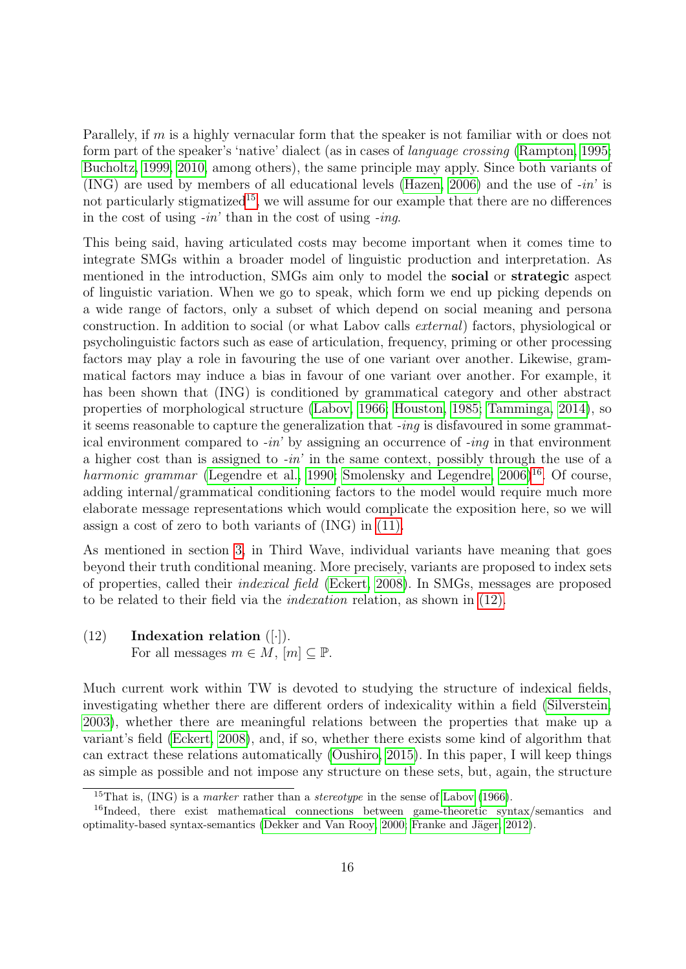Parallely, if m is a highly vernacular form that the speaker is not familiar with or does not form part of the speaker's 'native' dialect (as in cases of language crossing [\(Rampton, 1995;](#page-35-13) [Bucholtz, 1999,](#page-30-8) [2010,](#page-30-9) among others), the same principle may apply. Since both variants of (ING) are used by members of all educational levels [\(Hazen, 2006\)](#page-33-13) and the use of  $-in'$  is not particularly stigmatized<sup>[15](#page-15-0)</sup>, we will assume for our example that there are no differences in the cost of using  $-in'$  than in the cost of using  $-ing.$ 

This being said, having articulated costs may become important when it comes time to integrate SMGs within a broader model of linguistic production and interpretation. As mentioned in the introduction, SMGs aim only to model the social or strategic aspect of linguistic variation. When we go to speak, which form we end up picking depends on a wide range of factors, only a subset of which depend on social meaning and persona construction. In addition to social (or what Labov calls external) factors, physiological or psycholinguistic factors such as ease of articulation, frequency, priming or other processing factors may play a role in favouring the use of one variant over another. Likewise, grammatical factors may induce a bias in favour of one variant over another. For example, it has been shown that (ING) is conditioned by grammatical category and other abstract properties of morphological structure [\(Labov, 1966;](#page-33-1) [Houston, 1985;](#page-33-14) [Tamminga, 2014\)](#page-36-9), so it seems reasonable to capture the generalization that -ing is disfavoured in some grammatical environment compared to  $-in'$  by assigning an occurrence of  $-ing$  in that environment a higher cost than is assigned to  $-in'$  in the same context, possibly through the use of a harmonic grammar [\(Legendre et al., 1990;](#page-34-11) Smolensky and Legendre,  $2006)^{16}$  $2006)^{16}$  $2006)^{16}$ . Of course, adding internal/grammatical conditioning factors to the model would require much more elaborate message representations which would complicate the exposition here, so we will assign a cost of zero to both variants of (ING) in [\(11\).](#page-14-3)

As mentioned in section [3,](#page-6-0) in Third Wave, individual variants have meaning that goes beyond their truth conditional meaning. More precisely, variants are proposed to index sets of properties, called their indexical field [\(Eckert, 2008\)](#page-32-6). In SMGs, messages are proposed to be related to their field via the indexation relation, as shown in [\(12\).](#page-15-2)

<span id="page-15-2"></span> $(12)$  Indexation relation  $([-])$ . For all messages  $m \in M$ ,  $[m] \subseteq \mathbb{P}$ .

Much current work within TW is devoted to studying the structure of indexical fields, investigating whether there are different orders of indexicality within a field [\(Silverstein,](#page-35-9) [2003\)](#page-35-9), whether there are meaningful relations between the properties that make up a variant's field [\(Eckert, 2008\)](#page-32-6), and, if so, whether there exists some kind of algorithm that can extract these relations automatically [\(Oushiro, 2015\)](#page-35-14). In this paper, I will keep things as simple as possible and not impose any structure on these sets, but, again, the structure

<span id="page-15-1"></span><span id="page-15-0"></span><sup>&</sup>lt;sup>15</sup>That is, (ING) is a *marker* rather than a *stereotype* in the sense of [Labov](#page-33-1) [\(1966\)](#page-33-1).

<sup>16</sup>Indeed, there exist mathematical connections between game-theoretic syntax/semantics and optimality-based syntax-semantics [\(Dekker and Van Rooy, 2000;](#page-31-13) Franke and Jäger, 2012).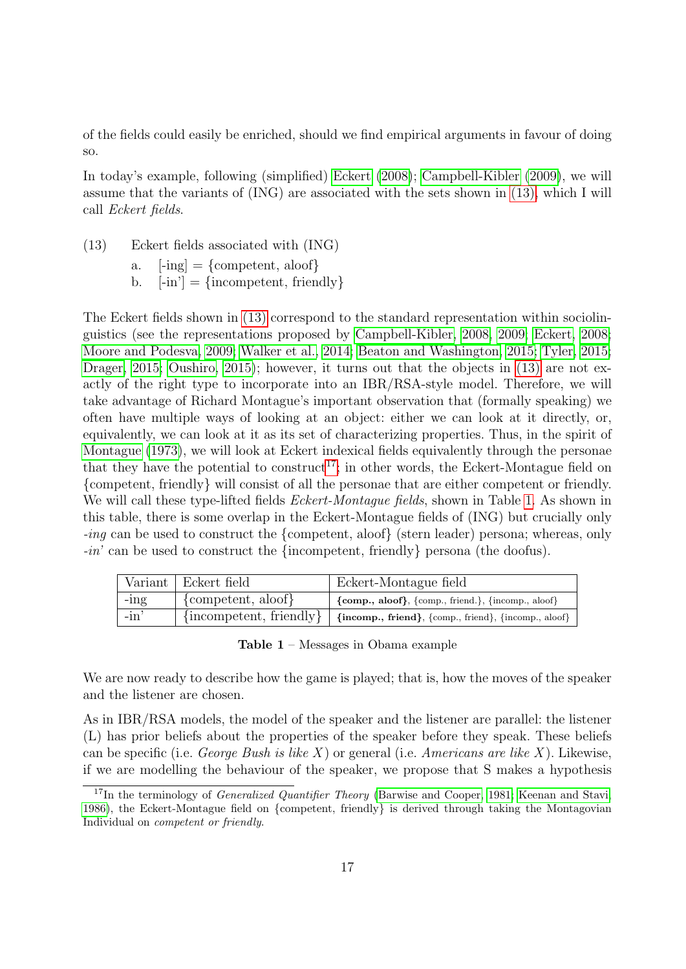of the fields could easily be enriched, should we find empirical arguments in favour of doing so.

In today's example, following (simplified) [Eckert](#page-32-6) [\(2008\)](#page-32-6); [Campbell-Kibler](#page-30-10) [\(2009\)](#page-30-10), we will assume that the variants of (ING) are associated with the sets shown in [\(13\),](#page-16-0) which I will call Eckert fields.

<span id="page-16-0"></span>(13) Eckert fields associated with (ING)

a.  $[-ing] = \{ \text{compact}, \text{aloof} \}$ 

b.  $[-in'] = {incompact, friendly}$ 

The Eckert fields shown in [\(13\)](#page-16-0) correspond to the standard representation within sociolinguistics (see the representations proposed by [Campbell-Kibler, 2008,](#page-30-2) [2009;](#page-30-10) [Eckert, 2008;](#page-32-6) [Moore and Podesva, 2009;](#page-34-12) [Walker et al., 2014;](#page-36-11) [Beaton and Washington, 2015;](#page-29-10) [Tyler, 2015;](#page-36-12) [Drager, 2015;](#page-31-14) [Oushiro, 2015\)](#page-35-14); however, it turns out that the objects in [\(13\)](#page-16-0) are not exactly of the right type to incorporate into an IBR/RSA-style model. Therefore, we will take advantage of Richard Montague's important observation that (formally speaking) we often have multiple ways of looking at an object: either we can look at it directly, or, equivalently, we can look at it as its set of characterizing properties. Thus, in the spirit of [Montague](#page-34-13) [\(1973\)](#page-34-13), we will look at Eckert indexical fields equivalently through the personae that they have the potential to construct<sup>[17](#page-16-1)</sup>; in other words, the Eckert-Montague field on {competent, friendly} will consist of all the personae that are either competent or friendly. We will call these type-lifted fields *Eckert-Montague fields*, shown in Table [1.](#page-16-2) As shown in this table, there is some overlap in the Eckert-Montague fields of (ING) but crucially only -ing can be used to construct the {competent, aloof} (stern leader) persona; whereas, only -in' can be used to construct the {incompetent, friendly} persona (the doofus).

<span id="page-16-2"></span>

|         | Variant Eckert field                | Eckert-Montague field                                                                             |
|---------|-------------------------------------|---------------------------------------------------------------------------------------------------|
| $-$ ing | $\{\text{compact}, \text{aloof}\}\$ | {comp., aloof}, {comp., friend.}, {incomp., aloof}                                                |
| $-in'$  |                                     | $\{\text{incompact}, \text{ friendly}\}\  \$ {incomp., friend}, {comp., friend}, {incomp., aloof} |

Table 1 – Messages in Obama example

We are now ready to describe how the game is played; that is, how the moves of the speaker and the listener are chosen.

As in IBR/RSA models, the model of the speaker and the listener are parallel: the listener (L) has prior beliefs about the properties of the speaker before they speak. These beliefs can be specific (i.e. *George Bush is like X*) or general (i.e. *Americans are like X*). Likewise, if we are modelling the behaviour of the speaker, we propose that S makes a hypothesis

<span id="page-16-1"></span><sup>&</sup>lt;sup>17</sup>In the terminology of *Generalized Quantifier Theory* [\(Barwise and Cooper, 1981;](#page-29-11) [Keenan and Stavi,](#page-33-15) [1986\)](#page-33-15), the Eckert-Montague field on {competent, friendly} is derived through taking the Montagovian Individual on competent or friendly.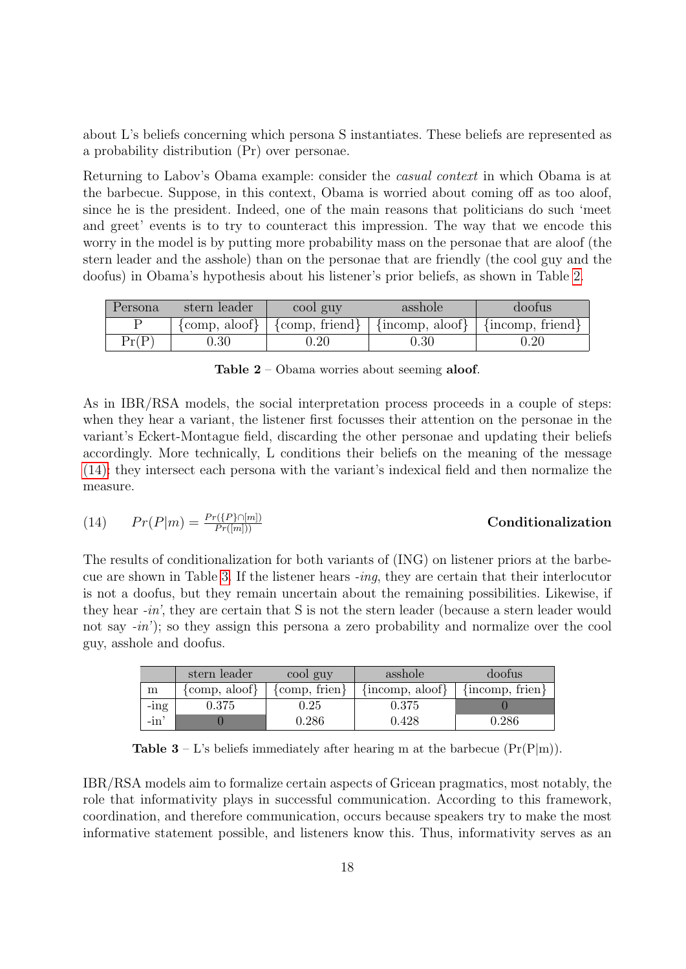about L's beliefs concerning which persona S instantiates. These beliefs are represented as a probability distribution (Pr) over personae.

Returning to Labov's Obama example: consider the casual context in which Obama is at the barbecue. Suppose, in this context, Obama is worried about coming off as too aloof, since he is the president. Indeed, one of the main reasons that politicians do such 'meet and greet' events is to try to counteract this impression. The way that we encode this worry in the model is by putting more probability mass on the personae that are aloof (the stern leader and the asshole) than on the personae that are friendly (the cool guy and the doofus) in Obama's hypothesis about his listener's prior beliefs, as shown in Table [2.](#page-17-0)

<span id="page-17-0"></span>

| Persona | stern leader                     | cool guy                       | asshole                                          | doofus   |
|---------|----------------------------------|--------------------------------|--------------------------------------------------|----------|
|         | $\{\text{comp}, \text{aloof}\}\$ | $\vert$ {comp, friend} $\vert$ | $\vert$ {incomp, aloof} $\vert$ {incomp, friend} |          |
| Pr(P)   | ${).}30$                         |                                | 0.30                                             | $0.20\,$ |

Table 2 – Obama worries about seeming aloof.

As in IBR/RSA models, the social interpretation process proceeds in a couple of steps: when they hear a variant, the listener first focusses their attention on the personae in the variant's Eckert-Montague field, discarding the other personae and updating their beliefs accordingly. More technically, L conditions their beliefs on the meaning of the message [\(14\):](#page-17-1) they intersect each persona with the variant's indexical field and then normalize the measure.

<span id="page-17-1"></span>(14) 
$$
Pr(P|m) = \frac{Pr(\lbrace P \rbrace \cap [m])}{Pr([m]))}
$$
 Conditionalization

The results of conditionalization for both variants of (ING) on listener priors at the barbe-cue are shown in Table [3.](#page-17-2) If the listener hears  $-ing$ , they are certain that their interlocutor is not a doofus, but they remain uncertain about the remaining possibilities. Likewise, if they hear -in', they are certain that S is not the stern leader (because a stern leader would not say -in'); so they assign this persona a zero probability and normalize over the cool guy, asshole and doofus.

<span id="page-17-2"></span>

|      | stern leader                     | cool guy                          | asshole                 | doofus               |
|------|----------------------------------|-----------------------------------|-------------------------|----------------------|
| m    | $\{\text{comp}, \text{aloof}\}\$ | $\{\text{comp}, \text{friend}\}\$ | $\{incomp, a$ loof $\}$ | $\{incomp, friend\}$ |
| -ing | $\rm 0.375$                      | $\rm 0.25$                        | 0.375                   |                      |
| -in  |                                  | 0.286                             | 0.428                   | 0.286                |

**Table 3** – L's beliefs immediately after hearing m at the barbecue  $(\Pr(P|m))$ .

IBR/RSA models aim to formalize certain aspects of Gricean pragmatics, most notably, the role that informativity plays in successful communication. According to this framework, coordination, and therefore communication, occurs because speakers try to make the most informative statement possible, and listeners know this. Thus, informativity serves as an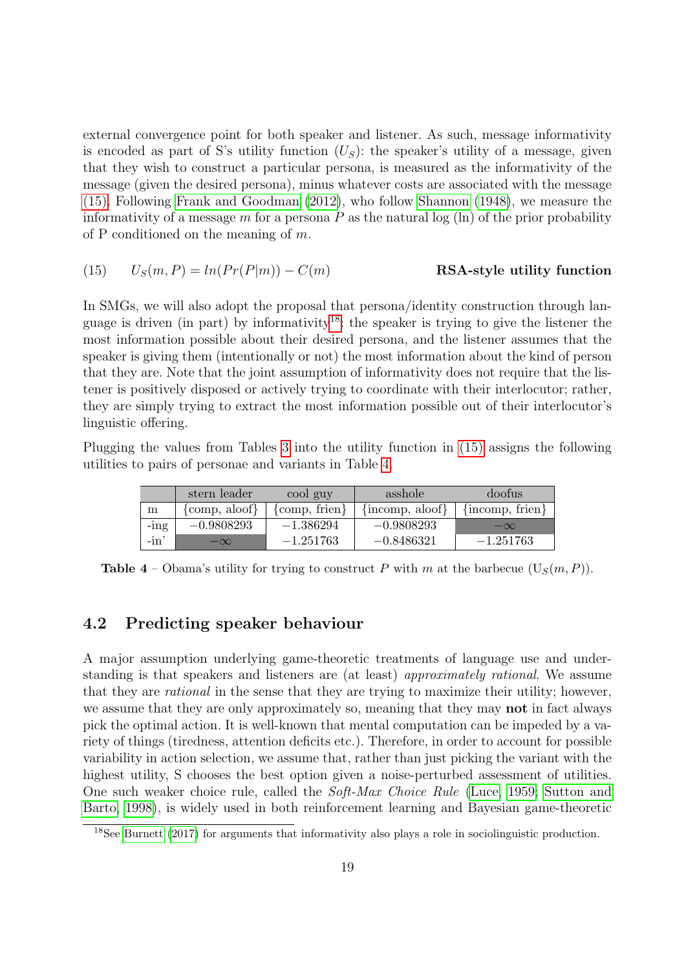external convergence point for both speaker and listener. As such, message informativity is encoded as part of S's utility function  $(U<sub>S</sub>)$ : the speaker's utility of a message, given that they wish to construct a particular persona, is measured as the informativity of the message (given the desired persona), minus whatever costs are associated with the message [\(15\).](#page-18-0) Following [Frank and Goodman](#page-32-13) [\(2012\)](#page-32-13), who follow [Shannon](#page-35-15) [\(1948\)](#page-35-15), we measure the informativity of a message m for a persona  $P$  as the natural log (ln) of the prior probability of P conditioned on the meaning of  $m$ .

#### <span id="page-18-0"></span>(15)  $U_S(m, P) = ln(Pr(P|m)) - C(m)$  RSA-style utility function

In SMGs, we will also adopt the proposal that persona/identity construction through lan-guage is driven (in part) by informativity<sup>[18](#page-18-1)</sup>: the speaker is trying to give the listener the most information possible about their desired persona, and the listener assumes that the speaker is giving them (intentionally or not) the most information about the kind of person that they are. Note that the joint assumption of informativity does not require that the listener is positively disposed or actively trying to coordinate with their interlocutor; rather, they are simply trying to extract the most information possible out of their interlocutor's linguistic offering.

<span id="page-18-2"></span>Plugging the values from Tables [3](#page-17-2) into the utility function in [\(15\)](#page-18-0) assigns the following utilities to pairs of personae and variants in Table [4.](#page-18-2)

|         | stern leader                     | cool guy                          | asshole             | doofus               |
|---------|----------------------------------|-----------------------------------|---------------------|----------------------|
| m       | $\{\text{comp}, \text{aloof}\}\$ | $\{\text{comp}, \text{friend}\}\$ | $\{incomp, aloof\}$ | $\{incomp, friend\}$ |
| $-$ ing | $-0.9808293$                     | $-1.386294$                       | $-0.9808293$        | $-\infty$            |
| $-in'$  | $-\infty$                        | $-1.251763$                       | $-0.8486321$        | $-1.251763$          |

**Table 4** – Obama's utility for trying to construct P with m at the barbecue  $(U_S(m, P))$ .

#### 4.2 Predicting speaker behaviour

A major assumption underlying game-theoretic treatments of language use and understanding is that speakers and listeners are (at least) approximately rational. We assume that they are rational in the sense that they are trying to maximize their utility; however, we assume that they are only approximately so, meaning that they may not in fact always pick the optimal action. It is well-known that mental computation can be impeded by a variety of things (tiredness, attention deficits etc.). Therefore, in order to account for possible variability in action selection, we assume that, rather than just picking the variant with the highest utility, S chooses the best option given a noise-perturbed assessment of utilities. One such weaker choice rule, called the Soft-Max Choice Rule [\(Luce, 1959;](#page-34-14) [Sutton and](#page-36-13) [Barto, 1998\)](#page-36-13), is widely used in both reinforcement learning and Bayesian game-theoretic

<span id="page-18-1"></span><sup>&</sup>lt;sup>18</sup>See [Burnett](#page-30-11) [\(2017\)](#page-30-11) for arguments that informativity also plays a role in sociolinguistic production.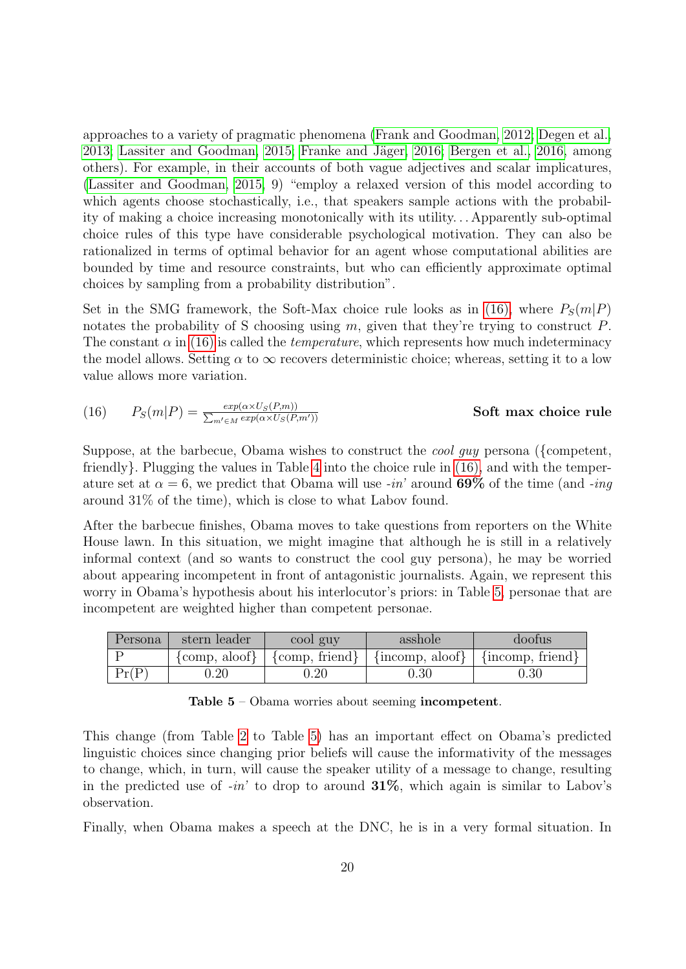approaches to a variety of pragmatic phenomena [\(Frank and Goodman, 2012;](#page-32-13) [Degen et al.,](#page-31-15) [2013;](#page-31-15) [Lassiter and Goodman, 2015;](#page-34-15) Franke and Jäger, 2016; [Bergen et al., 2016,](#page-29-8) among others). For example, in their accounts of both vague adjectives and scalar implicatures, [\(Lassiter and Goodman, 2015,](#page-34-15) 9) "employ a relaxed version of this model according to which agents choose stochastically, i.e., that speakers sample actions with the probability of making a choice increasing monotonically with its utility. . . Apparently sub-optimal choice rules of this type have considerable psychological motivation. They can also be rationalized in terms of optimal behavior for an agent whose computational abilities are bounded by time and resource constraints, but who can efficiently approximate optimal choices by sampling from a probability distribution".

Set in the SMG framework, the Soft-Max choice rule looks as in [\(16\),](#page-19-0) where  $P_S(m|P)$ notates the probability of S choosing using  $m$ , given that they're trying to construct  $P$ . The constant  $\alpha$  in [\(16\)](#page-19-0) is called the *temperature*, which represents how much indeterminacy the model allows. Setting  $\alpha$  to  $\infty$  recovers deterministic choice; whereas, setting it to a low value allows more variation.

<span id="page-19-0"></span>(16) 
$$
P_S(m|P) = \frac{exp(\alpha \times U_S(P,m))}{\sum_{m' \in M} exp(\alpha \times U_S(P,m'))}
$$
 Soft max choice rule

Suppose, at the barbecue, Obama wishes to construct the cool guy persona ({competent, friendly}. Plugging the values in Table [4](#page-18-2) into the choice rule in [\(16\),](#page-19-0) and with the temperature set at  $\alpha = 6$ , we predict that Obama will use  $-in'$  around 69% of the time (and  $-inq$ around 31% of the time), which is close to what Labov found.

After the barbecue finishes, Obama moves to take questions from reporters on the White House lawn. In this situation, we might imagine that although he is still in a relatively informal context (and so wants to construct the cool guy persona), he may be worried about appearing incompetent in front of antagonistic journalists. Again, we represent this worry in Obama's hypothesis about his interlocutor's priors: in Table [5,](#page-19-1) personae that are incompetent are weighted higher than competent personae.

<span id="page-19-1"></span>

| Persona | stern leader                     | cool guy                          | asshole             | doofus                   |
|---------|----------------------------------|-----------------------------------|---------------------|--------------------------|
|         | $\{\text{comp}, \text{aloof}\}\$ | $\{\text{comp}, \text{friend}\}\$ | $\{incomp, aloof\}$ | $\vert$ {incomp, friend} |
| Pr(P)   | 0.20                             | $0.20\,$                          | $\rm 0.30$          | ${).}30$                 |

Table 5 – Obama worries about seeming incompetent.

This change (from Table [2](#page-17-0) to Table [5\)](#page-19-1) has an important effect on Obama's predicted linguistic choices since changing prior beliefs will cause the informativity of the messages to change, which, in turn, will cause the speaker utility of a message to change, resulting in the predicted use of  $-in'$  to drop to around  $31\%$ , which again is similar to Labov's observation.

Finally, when Obama makes a speech at the DNC, he is in a very formal situation. In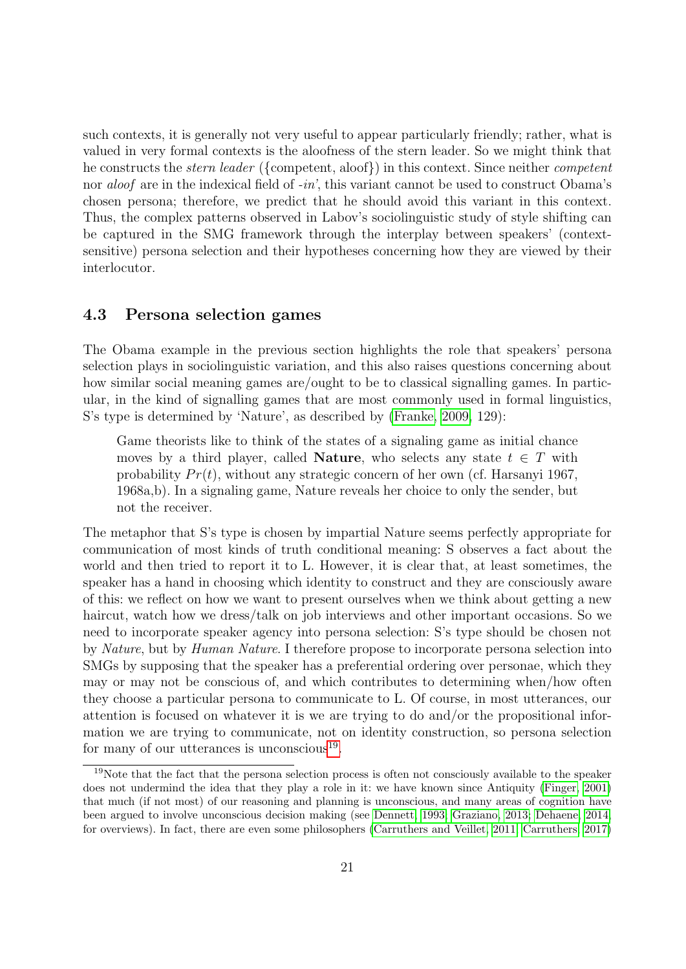such contexts, it is generally not very useful to appear particularly friendly; rather, what is valued in very formal contexts is the aloofness of the stern leader. So we might think that he constructs the stern leader ({competent, aloof}) in this context. Since neither competent nor *aloof* are in the indexical field of -in', this variant cannot be used to construct Obama's chosen persona; therefore, we predict that he should avoid this variant in this context. Thus, the complex patterns observed in Labov's sociolinguistic study of style shifting can be captured in the SMG framework through the interplay between speakers' (contextsensitive) persona selection and their hypotheses concerning how they are viewed by their interlocutor.

#### 4.3 Persona selection games

The Obama example in the previous section highlights the role that speakers' persona selection plays in sociolinguistic variation, and this also raises questions concerning about how similar social meaning games are/ought to be to classical signalling games. In particular, in the kind of signalling games that are most commonly used in formal linguistics, S's type is determined by 'Nature', as described by [\(Franke, 2009,](#page-32-12) 129):

Game theorists like to think of the states of a signaling game as initial chance moves by a third player, called **Nature**, who selects any state  $t \in T$  with probability  $Pr(t)$ , without any strategic concern of her own (cf. Harsanyi 1967, 1968a,b). In a signaling game, Nature reveals her choice to only the sender, but not the receiver.

The metaphor that S's type is chosen by impartial Nature seems perfectly appropriate for communication of most kinds of truth conditional meaning: S observes a fact about the world and then tried to report it to L. However, it is clear that, at least sometimes, the speaker has a hand in choosing which identity to construct and they are consciously aware of this: we reflect on how we want to present ourselves when we think about getting a new haircut, watch how we dress/talk on job interviews and other important occasions. So we need to incorporate speaker agency into persona selection: S's type should be chosen not by Nature, but by Human Nature. I therefore propose to incorporate persona selection into SMGs by supposing that the speaker has a preferential ordering over personae, which they may or may not be conscious of, and which contributes to determining when/how often they choose a particular persona to communicate to L. Of course, in most utterances, our attention is focused on whatever it is we are trying to do and/or the propositional information we are trying to communicate, not on identity construction, so persona selection for many of our utterances is unconscious<sup>[19](#page-20-0)</sup>.

<span id="page-20-0"></span><sup>&</sup>lt;sup>19</sup>Note that the fact that the persona selection process is often not consciously available to the speaker does not undermind the idea that they play a role in it: we have known since Antiquity [\(Finger, 2001\)](#page-32-17) that much (if not most) of our reasoning and planning is unconscious, and many areas of cognition have been argued to involve unconscious decision making (see [Dennett, 1993;](#page-31-10) [Graziano, 2013;](#page-32-14) [Dehaene, 2014,](#page-31-16) for overviews). In fact, there are even some philosophers [\(Carruthers and Veillet, 2011;](#page-30-12) [Carruthers, 2017\)](#page-30-13)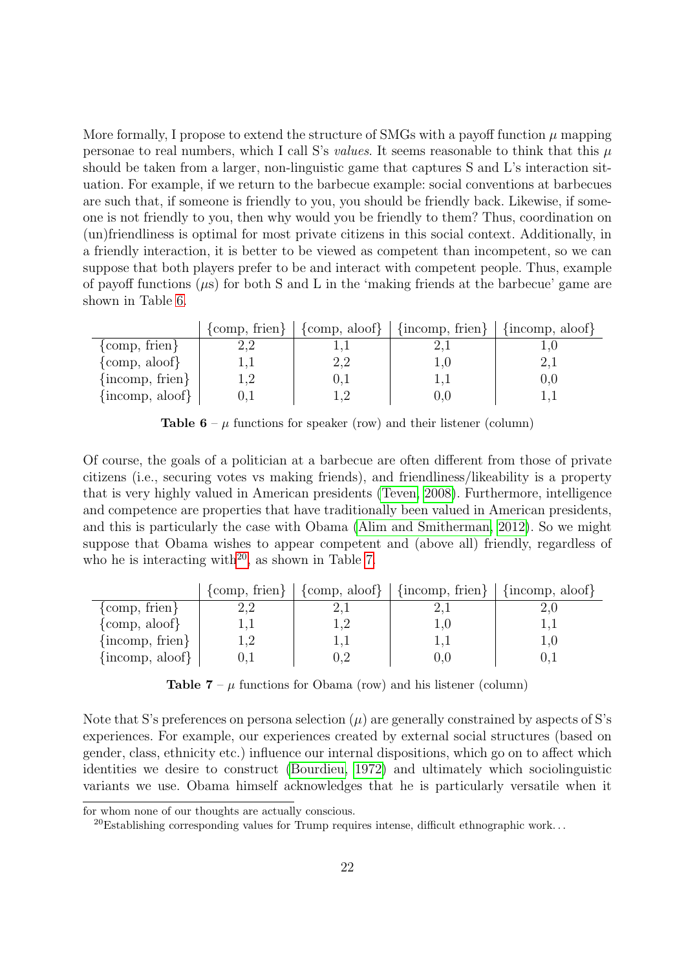More formally, I propose to extend the structure of SMGs with a payoff function  $\mu$  mapping personae to real numbers, which I call S's *values*. It seems reasonable to think that this  $\mu$ should be taken from a larger, non-linguistic game that captures S and L's interaction situation. For example, if we return to the barbecue example: social conventions at barbecues are such that, if someone is friendly to you, you should be friendly back. Likewise, if someone is not friendly to you, then why would you be friendly to them? Thus, coordination on (un)friendliness is optimal for most private citizens in this social context. Additionally, in a friendly interaction, it is better to be viewed as competent than incompetent, so we can suppose that both players prefer to be and interact with competent people. Thus, example of payoff functions  $(\mu s)$  for both S and L in the 'making friends at the barbecue' game are shown in Table [6.](#page-21-0)

<span id="page-21-0"></span>

|                                   | $\{\text{comp}, \text{friend}\}\$ | $\{\text{comp}, \text{aloof}\}\;$ | $\{incomp, friend\}$ | $\{incomp, aloof\}$ |
|-----------------------------------|-----------------------------------|-----------------------------------|----------------------|---------------------|
| $\{\text{comp}, \text{friend}\}\$ |                                   |                                   |                      |                     |
| $\{\text{comp}, \text{aloof}\}\$  |                                   | 2,2                               |                      |                     |
| $\{incomp, friend\}$              |                                   | U.I                               |                      |                     |
| $\{incomp, aloof\}$               | IJ.⊥                              |                                   |                      |                     |

**Table 6** –  $\mu$  functions for speaker (row) and their listener (column)

Of course, the goals of a politician at a barbecue are often different from those of private citizens (i.e., securing votes vs making friends), and friendliness/likeability is a property that is very highly valued in American presidents [\(Teven, 2008\)](#page-36-14). Furthermore, intelligence and competence are properties that have traditionally been valued in American presidents, and this is particularly the case with Obama [\(Alim and Smitherman, 2012\)](#page-29-12). So we might suppose that Obama wishes to appear competent and (above all) friendly, regardless of who he is interacting with<sup>[20](#page-21-1)</sup>, as shown in Table [7.](#page-21-2)

<span id="page-21-2"></span>

|                                   | $\{\text{comp}, \text{friend}\}\$ | $\{\text{comp}, \text{aloof}\}\$ | $\{incomp, friend\}$ | $\{incomp, aloof\}$ |
|-----------------------------------|-----------------------------------|----------------------------------|----------------------|---------------------|
| $\{\text{comp}, \text{friend}\}\$ |                                   |                                  |                      |                     |
| $\{\text{comp}, \text{aloof}\}\$  |                                   |                                  |                      |                     |
| ${incomp, firen}$                 |                                   |                                  |                      |                     |
| $\{incomp, aloof\}$               |                                   |                                  |                      |                     |

**Table 7** –  $\mu$  functions for Obama (row) and his listener (column)

Note that S's preferences on persona selection  $(\mu)$  are generally constrained by aspects of S's experiences. For example, our experiences created by external social structures (based on gender, class, ethnicity etc.) influence our internal dispositions, which go on to affect which identities we desire to construct [\(Bourdieu, 1972\)](#page-29-13) and ultimately which sociolinguistic variants we use. Obama himself acknowledges that he is particularly versatile when it

for whom none of our thoughts are actually conscious.

<span id="page-21-1"></span><sup>&</sup>lt;sup>20</sup>Establishing corresponding values for Trump requires intense, difficult ethnographic work...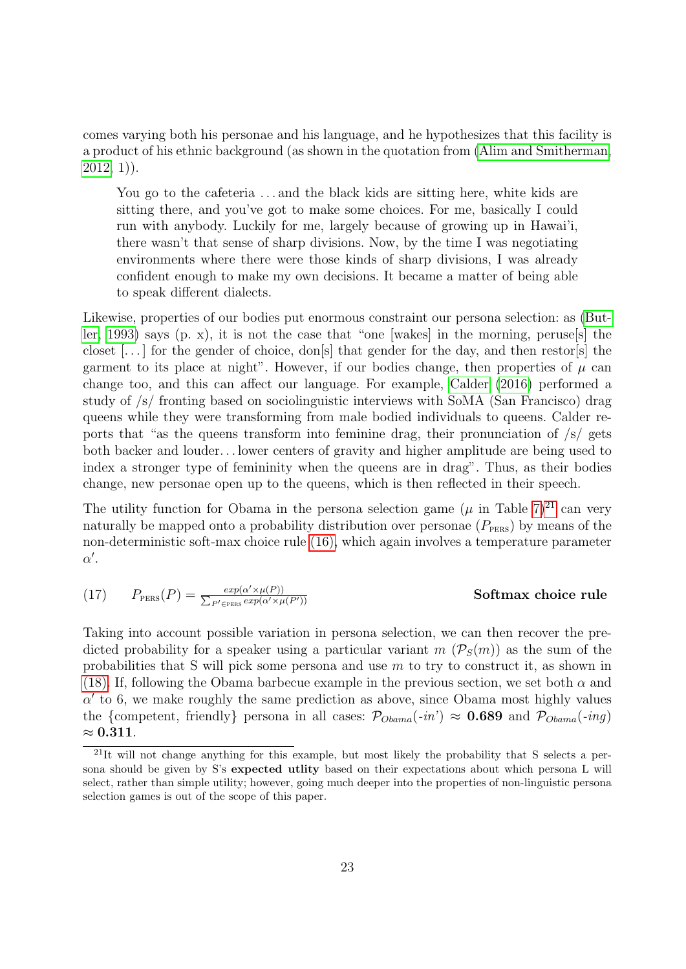comes varying both his personae and his language, and he hypothesizes that this facility is a product of his ethnic background (as shown in the quotation from [\(Alim and Smitherman,](#page-29-12)  $2012, 1)$  $2012, 1)$ .

You go to the cafeteria ... and the black kids are sitting here, white kids are sitting there, and you've got to make some choices. For me, basically I could run with anybody. Luckily for me, largely because of growing up in Hawai'i, there wasn't that sense of sharp divisions. Now, by the time I was negotiating environments where there were those kinds of sharp divisions, I was already confident enough to make my own decisions. It became a matter of being able to speak different dialects.

Likewise, properties of our bodies put enormous constraint our persona selection: as [\(But](#page-30-14)[ler, 1993\)](#page-30-14) says  $(p, x)$ , it is not the case that "one [wakes] in the morning, peruse[s] the closet [ $\dots$ ] for the gender of choice, don[s] that gender for the day, and then restor[s] the garment to its place at night". However, if our bodies change, then properties of  $\mu$  can change too, and this can affect our language. For example, [Calder](#page-30-5) [\(2016\)](#page-30-5) performed a study of /s/ fronting based on sociolinguistic interviews with SoMA (San Francisco) drag queens while they were transforming from male bodied individuals to queens. Calder reports that "as the queens transform into feminine drag, their pronunciation of /s/ gets both backer and louder. . . lower centers of gravity and higher amplitude are being used to index a stronger type of femininity when the queens are in drag". Thus, as their bodies change, new personae open up to the queens, which is then reflected in their speech.

The utility function for Obama in the persona selection game  $(\mu$  in Table [7\)](#page-21-2)<sup>[21](#page-22-0)</sup> can very naturally be mapped onto a probability distribution over personae  $(P_{\text{prns}})$  by means of the non-deterministic soft-max choice rule [\(16\),](#page-19-0) which again involves a temperature parameter  $\alpha'$ .

(17) 
$$
P_{\text{PERS}}(P) = \frac{exp(\alpha' \times \mu(P))}{\sum_{P' \in \text{PERS}} exp(\alpha' \times \mu(P'))}
$$
 Software choice rule

Taking into account possible variation in persona selection, we can then recover the predicted probability for a speaker using a particular variant  $m(\mathcal{P}_S(m))$  as the sum of the probabilities that S will pick some persona and use  $m$  to try to construct it, as shown in [\(18\).](#page-22-1) If, following the Obama barbecue example in the previous section, we set both  $\alpha$  and  $\alpha'$  to 6, we make roughly the same prediction as above, since Obama most highly values the {competent, friendly} persona in all cases:  $\mathcal{P}_{Obama}(-in') \approx 0.689$  and  $\mathcal{P}_{Obama}(-ing)$  $\approx 0.311$ .

<span id="page-22-1"></span><span id="page-22-0"></span><sup>&</sup>lt;sup>21</sup>It will not change anything for this example, but most likely the probability that S selects a persona should be given by S's expected utlity based on their expectations about which persona L will select, rather than simple utility; however, going much deeper into the properties of non-linguistic persona selection games is out of the scope of this paper.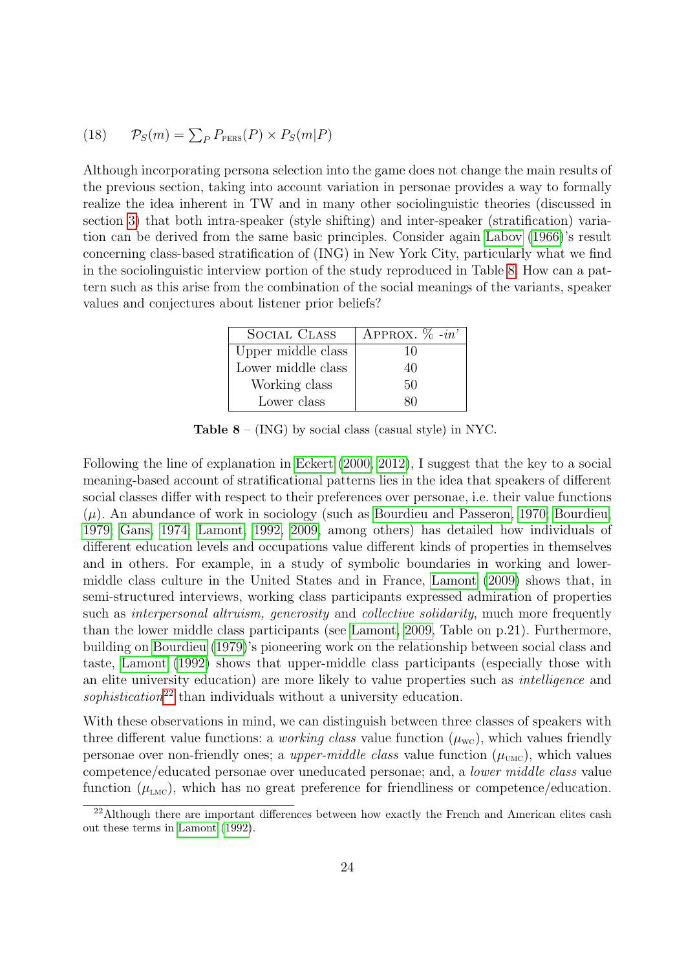(18) 
$$
\mathcal{P}_S(m) = \sum_P P_{\text{PERS}}(P) \times P_S(m|P)
$$

Although incorporating persona selection into the game does not change the main results of the previous section, taking into account variation in personae provides a way to formally realize the idea inherent in TW and in many other sociolinguistic theories (discussed in section [3\)](#page-6-0) that both intra-speaker (style shifting) and inter-speaker (stratification) variation can be derived from the same basic principles. Consider again [Labov](#page-33-1) [\(1966\)](#page-33-1)'s result concerning class-based stratification of (ING) in New York City, particularly what we find in the sociolinguistic interview portion of the study reproduced in Table [8.](#page-23-0) How can a pattern such as this arise from the combination of the social meanings of the variants, speaker values and conjectures about listener prior beliefs?

| <b>SOCIAL CLASS</b> | APPROX. $\%$ -in' |
|---------------------|-------------------|
| Upper middle class  | 10                |
| Lower middle class  | 40                |
| Working class       | 50                |
| Lower class         |                   |

**Table 8** – (ING) by social class (casual style) in NYC.

<span id="page-23-0"></span>Following the line of explanation in [Eckert](#page-32-9) [\(2000,](#page-32-9) [2012\)](#page-32-3), I suggest that the key to a social meaning-based account of stratificational patterns lies in the idea that speakers of different social classes differ with respect to their preferences over personae, i.e. their value functions  $(\mu)$ . An abundance of work in sociology (such as [Bourdieu and Passeron, 1970;](#page-30-15) [Bourdieu,](#page-29-14) [1979;](#page-29-14) [Gans, 1974;](#page-32-18) [Lamont, 1992,](#page-33-16) [2009,](#page-33-17) among others) has detailed how individuals of different education levels and occupations value different kinds of properties in themselves and in others. For example, in a study of symbolic boundaries in working and lowermiddle class culture in the United States and in France, [Lamont](#page-33-17) [\(2009\)](#page-33-17) shows that, in semi-structured interviews, working class participants expressed admiration of properties such as *interpersonal altruism*, *generosity* and *collective solidarity*, much more frequently than the lower middle class participants (see [Lamont, 2009,](#page-33-17) Table on p.21). Furthermore, building on [Bourdieu](#page-29-14) [\(1979\)](#page-29-14)'s pioneering work on the relationship between social class and taste, [Lamont](#page-33-16) [\(1992\)](#page-33-16) shows that upper-middle class participants (especially those with an elite university education) are more likely to value properties such as intelligence and sophistication<sup>[22](#page-23-1)</sup> than individuals without a university education.

With these observations in mind, we can distinguish between three classes of speakers with three different value functions: a *working class* value function  $(\mu_{\rm wc})$ , which values friendly personae over non-friendly ones; a *upper-middle class* value function  $(\mu_{\text{unc}})$ , which values competence/educated personae over uneducated personae; and, a lower middle class value function  $(\mu_{LMC})$ , which has no great preference for friendliness or competence/education.

<span id="page-23-1"></span><sup>&</sup>lt;sup>22</sup>Although there are important differences between how exactly the French and American elites cash out these terms in [Lamont](#page-33-16) [\(1992\)](#page-33-16).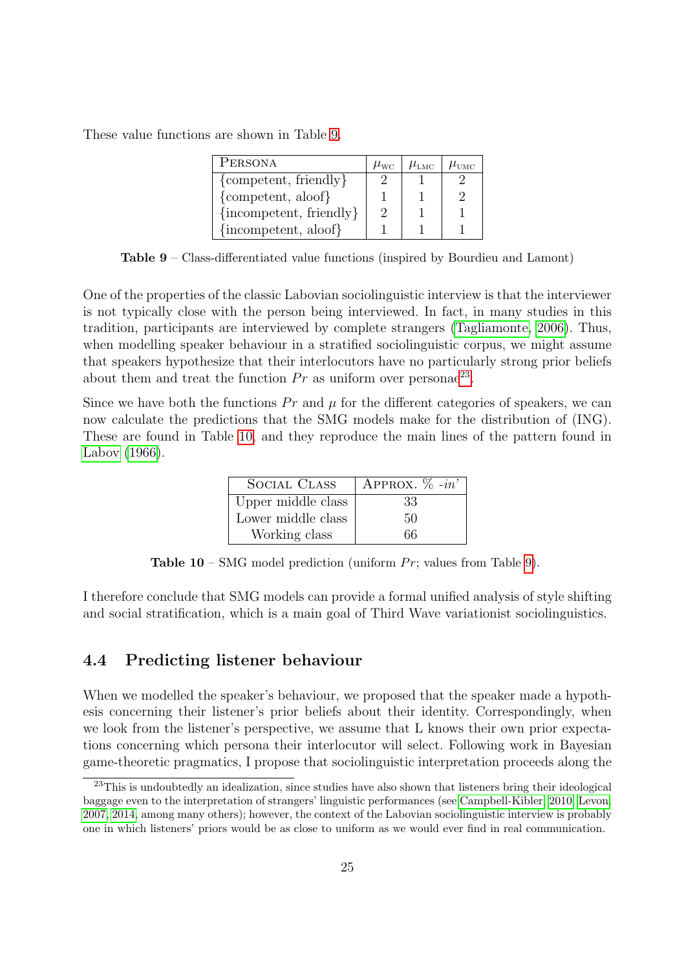<span id="page-24-0"></span>These value functions are shown in Table [9.](#page-24-0)

| PERSONA                                 | $\mu_\text{wc}$ | $\mu_{\text{\tiny LMC}}$ | $\mu_{\text{UMC}}$ |
|-----------------------------------------|-----------------|--------------------------|--------------------|
| ${competent, friendly}$                 |                 |                          |                    |
| ${competent, a$ loof $}$                |                 |                          |                    |
| ${incompact, friendly}$                 |                 |                          |                    |
| $\{in\text{component}, \text{aloof}\}\$ |                 |                          |                    |

Table 9 – Class-differentiated value functions (inspired by Bourdieu and Lamont)

One of the properties of the classic Labovian sociolinguistic interview is that the interviewer is not typically close with the person being interviewed. In fact, in many studies in this tradition, participants are interviewed by complete strangers [\(Tagliamonte, 2006\)](#page-36-15). Thus, when modelling speaker behaviour in a stratified sociolinguistic corpus, we might assume that speakers hypothesize that their interlocutors have no particularly strong prior beliefs about them and treat the function  $Pr$  as uniform over personae<sup>[23](#page-24-1)</sup>.

<span id="page-24-2"></span>Since we have both the functions  $Pr$  and  $\mu$  for the different categories of speakers, we can now calculate the predictions that the SMG models make for the distribution of (ING). These are found in Table [10,](#page-24-2) and they reproduce the main lines of the pattern found in [Labov](#page-33-1) [\(1966\)](#page-33-1).

| <b>SOCIAL CLASS</b> | APPROX. $\%$ -in' |
|---------------------|-------------------|
| Upper middle class  | 33                |
| Lower middle class  | 50                |
| Working class       | 66                |

**Table 10** – SMG model prediction (uniform  $Pr$ ; values from Table [9\)](#page-24-0).

I therefore conclude that SMG models can provide a formal unified analysis of style shifting and social stratification, which is a main goal of Third Wave variationist sociolinguistics.

### 4.4 Predicting listener behaviour

When we modelled the speaker's behaviour, we proposed that the speaker made a hypothesis concerning their listener's prior beliefs about their identity. Correspondingly, when we look from the listener's perspective, we assume that L knows their own prior expectations concerning which persona their interlocutor will select. Following work in Bayesian game-theoretic pragmatics, I propose that sociolinguistic interpretation proceeds along the

<span id="page-24-1"></span><sup>&</sup>lt;sup>23</sup>This is undoubtedly an idealization, since studies have also shown that listeners bring their ideological baggage even to the interpretation of strangers' linguistic performances (see [Campbell-Kibler, 2010;](#page-30-16) [Levon,](#page-34-16) [2007,](#page-34-16) [2014,](#page-34-17) among many others); however, the context of the Labovian sociolinguistic interview is probably one in which listeners' priors would be as close to uniform as we would ever find in real communication.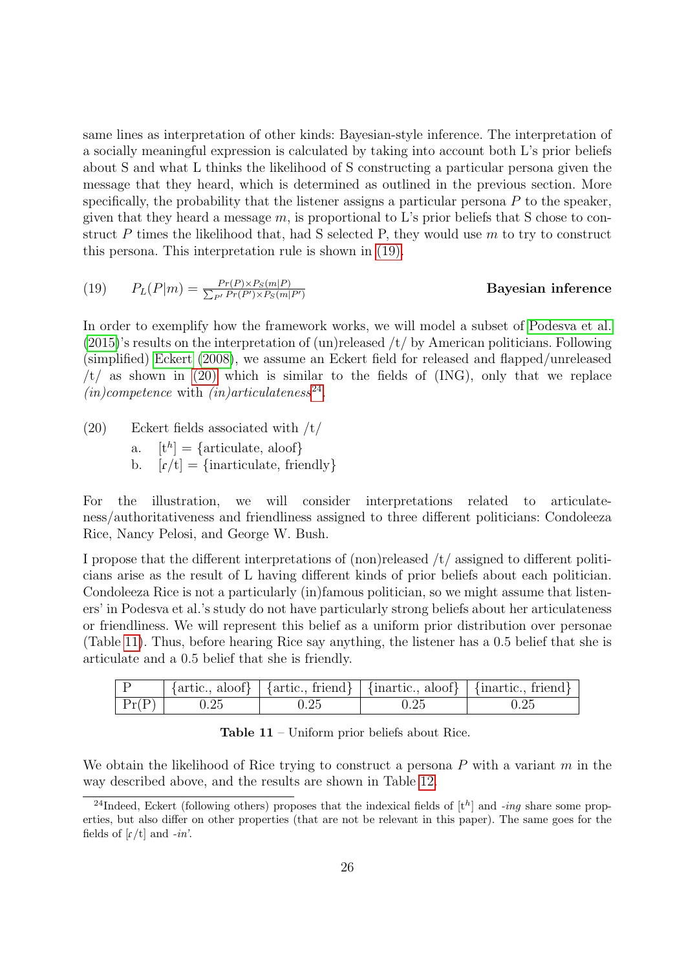same lines as interpretation of other kinds: Bayesian-style inference. The interpretation of a socially meaningful expression is calculated by taking into account both L's prior beliefs about S and what L thinks the likelihood of S constructing a particular persona given the message that they heard, which is determined as outlined in the previous section. More specifically, the probability that the listener assigns a particular persona  $P$  to the speaker, given that they heard a message  $m$ , is proportional to L's prior beliefs that S chose to construct  $P$  times the likelihood that, had S selected P, they would use  $m$  to try to construct this persona. This interpretation rule is shown in [\(19\).](#page-25-0)

<span id="page-25-0"></span>(19) 
$$
P_L(P|m) = \frac{P_T(P) \times P_S(m|P)}{\sum_{P'} P_T(P') \times P_S(m|P')}
$$
 Bayesian inference

In order to exemplify how the framework works, we will model a subset of [Podesva et al.](#page-35-2)  $(2015)$ 's results on the interpretation of (un)released  $/t$  by American politicians. Following (simplified) [Eckert](#page-32-6) [\(2008\)](#page-32-6), we assume an Eckert field for released and flapped/unreleased  $/t/$  as shown in [\(20\)](#page-25-1) which is similar to the fields of (ING), only that we replace  $(in) competence$  with  $(in) articulatess<sup>24</sup>$  $(in) articulatess<sup>24</sup>$  $(in) articulatess<sup>24</sup>$ .

<span id="page-25-1"></span> $(20)$  Eckert fields associated with  $/t/$ a.  $[t^h] = \{$ articulate, aloof $\}$  $f(r/t) = \{inarticular, friendly\}$ 

For the illustration, we will consider interpretations related to articulateness/authoritativeness and friendliness assigned to three different politicians: Condoleeza Rice, Nancy Pelosi, and George W. Bush.

I propose that the different interpretations of (non)released /t/ assigned to different politicians arise as the result of L having different kinds of prior beliefs about each politician. Condoleeza Rice is not a particularly (in)famous politician, so we might assume that listeners' in Podesva et al.'s study do not have particularly strong beliefs about her articulateness or friendliness. We will represent this belief as a uniform prior distribution over personae (Table [11\)](#page-25-3). Thus, before hearing Rice say anything, the listener has a 0.5 belief that she is articulate and a 0.5 belief that she is friendly.

<span id="page-25-3"></span>

|       |      |      |      | $\{ \text{artic., aloor} \}$ $\{ \text{artic., friend} \}$ $\{ \text{inartic., aloor} \}$ $\{ \text{inartic., friend} \}$ |
|-------|------|------|------|---------------------------------------------------------------------------------------------------------------------------|
| Pr(P) | 0.25 | 0.25 | 0.25 |                                                                                                                           |

| <b>Table 11</b> – Uniform prior beliefs about Rice. |  |
|-----------------------------------------------------|--|
|-----------------------------------------------------|--|

We obtain the likelihood of Rice trying to construct a persona  $P$  with a variant  $m$  in the way described above, and the results are shown in Table [12.](#page-26-0)

<span id="page-25-2"></span><sup>&</sup>lt;sup>24</sup>Indeed, Eckert (following others) proposes that the indexical fields of  $[t^h]$  and -ing share some properties, but also differ on other properties (that are not be relevant in this paper). The same goes for the fields of  $\lceil r/t \rceil$  and  $-in'.$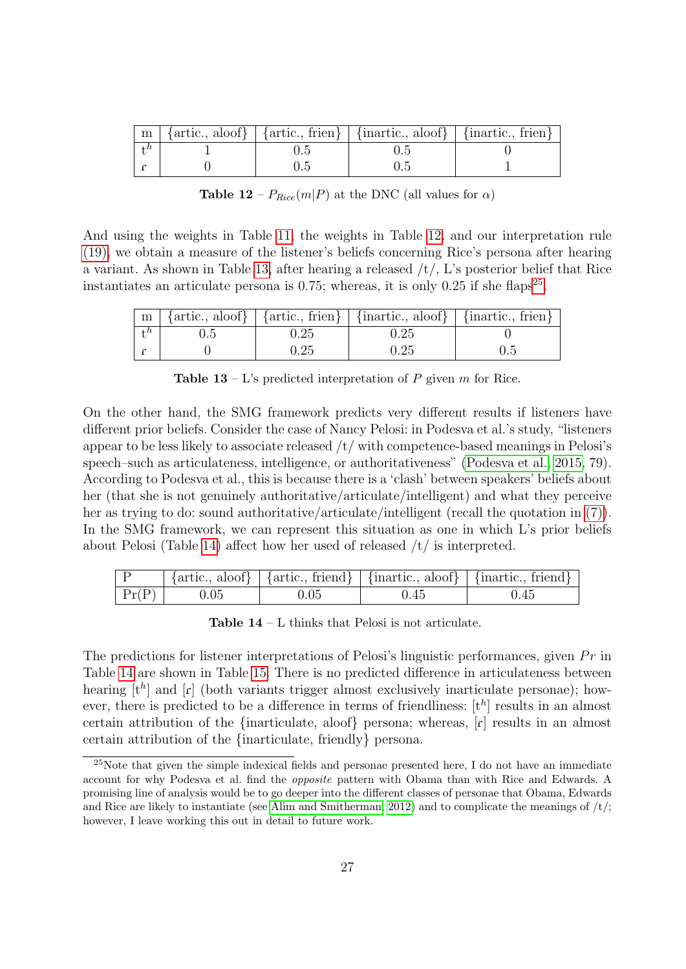<span id="page-26-0"></span>

|  | $\mid m \mid$ {artic., aloof} $\mid$ {artic., frien} $\mid$ {inartic., aloof} $\mid$ {inartic., frien} |  |
|--|--------------------------------------------------------------------------------------------------------|--|
|  |                                                                                                        |  |
|  |                                                                                                        |  |

**Table 12** –  $P_{Rice}(m|P)$  at the DNC (all values for  $\alpha$ )

And using the weights in Table [11,](#page-25-3) the weights in Table [12,](#page-26-0) and our interpretation rule [\(19\),](#page-25-0) we obtain a measure of the listener's beliefs concerning Rice's persona after hearing a variant. As shown in Table [13,](#page-26-1) after hearing a released  $/t/$ , L's posterior belief that Rice instantiates an articulate persona is 0.75; whereas, it is only 0.[25](#page-26-2) if she flaps<sup>25</sup>.

<span id="page-26-1"></span>

|      |  | $\mid m \mid$ {artic., aloof} $\mid$ {artic., frien} $\mid$ {inartic., aloof} $\mid$ {inartic., frien} |  |
|------|--|--------------------------------------------------------------------------------------------------------|--|
| $+h$ |  |                                                                                                        |  |
|      |  |                                                                                                        |  |

**Table 13** – L's predicted interpretation of P given m for Rice.

On the other hand, the SMG framework predicts very different results if listeners have different prior beliefs. Consider the case of Nancy Pelosi: in Podesva et al.'s study, "listeners appear to be less likely to associate released /t/ with competence-based meanings in Pelosi's speech–such as articulateness, intelligence, or authoritativeness" [\(Podesva et al., 2015,](#page-35-2) 79). According to Podesva et al., this is because there is a 'clash' between speakers' beliefs about her (that she is not genuinely authoritative/articulate/intelligent) and what they perceive her as trying to do: sound authoritative/articulate/intelligent (recall the quotation in [\(7\)\)](#page-5-2). In the SMG framework, we can represent this situation as one in which L's prior beliefs about Pelosi (Table [14\)](#page-26-3) affect how her used of released  $/t/$  is interpreted.

<span id="page-26-3"></span>

|          |      |      |      | $\vert$ {artic., aloof} $\vert$ {artic., friend} $\vert$ {inartic., aloof} $\vert$ {inartic., friend} $\vert$ |
|----------|------|------|------|---------------------------------------------------------------------------------------------------------------|
| $\Pr(P)$ | 0.05 | 0.05 | 0.45 | 0.45                                                                                                          |

Table 14 – L thinks that Pelosi is not articulate.

The predictions for listener interpretations of Pelosi's linguistic performances, given  $Pr$  in Table [14](#page-26-3) are shown in Table [15.](#page-27-0) There is no predicted difference in articulateness between hearing  $[t<sup>h</sup>]$  and  $[r]$  (both variants trigger almost exclusively inarticulate personae); however, there is predicted to be a difference in terms of friendliness:  $[t<sup>h</sup>]$  results in an almost certain attribution of the {inarticulate, aloof} persona; whereas, [f] results in an almost certain attribution of the {inarticulate, friendly} persona.

<span id="page-26-2"></span> $25$ Note that given the simple indexical fields and personae presented here, I do not have an immediate account for why Podesva et al. find the opposite pattern with Obama than with Rice and Edwards. A promising line of analysis would be to go deeper into the different classes of personae that Obama, Edwards and Rice are likely to instantiate (see [Alim and Smitherman, 2012\)](#page-29-12) and to complicate the meanings of  $/t$ ; however, I leave working this out in detail to future work.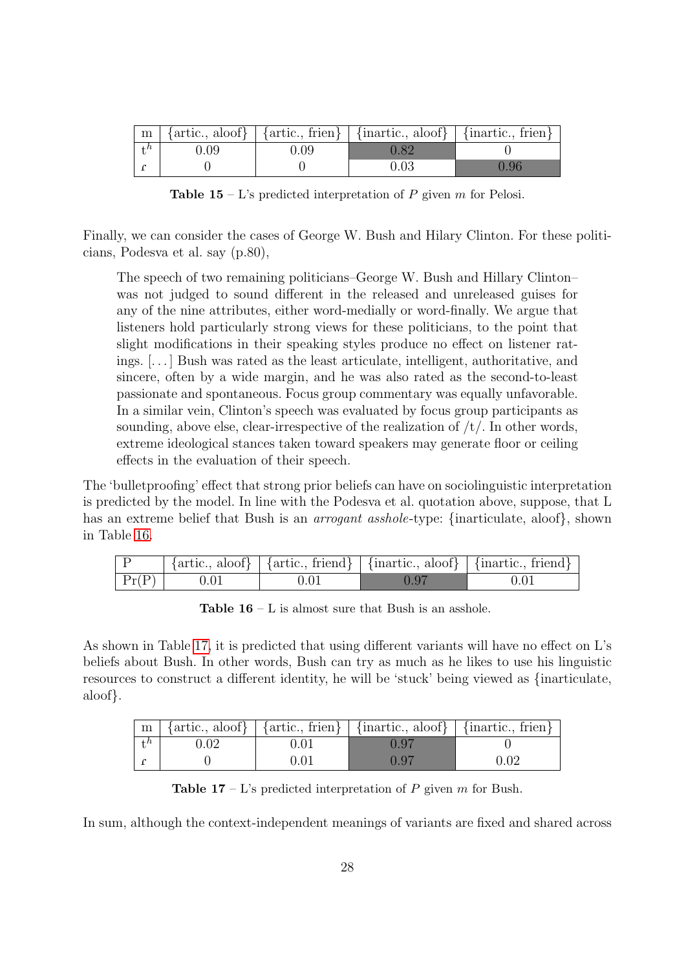<span id="page-27-0"></span>

|       |      |      | $\mid m \mid$ {artic., aloof} $\mid$ {artic., frien} $\mid$ {inartic., aloof} $\mid$ {inartic., frien} |      |
|-------|------|------|--------------------------------------------------------------------------------------------------------|------|
| $t^h$ | 0.09 | 0.09 |                                                                                                        |      |
|       |      |      | 0.03                                                                                                   | 0.96 |

**Table 15** – L's predicted interpretation of P given m for Pelosi.

Finally, we can consider the cases of George W. Bush and Hilary Clinton. For these politicians, Podesva et al. say (p.80),

The speech of two remaining politicians–George W. Bush and Hillary Clinton– was not judged to sound different in the released and unreleased guises for any of the nine attributes, either word-medially or word-finally. We argue that listeners hold particularly strong views for these politicians, to the point that slight modifications in their speaking styles produce no effect on listener ratings. [. . . ] Bush was rated as the least articulate, intelligent, authoritative, and sincere, often by a wide margin, and he was also rated as the second-to-least passionate and spontaneous. Focus group commentary was equally unfavorable. In a similar vein, Clinton's speech was evaluated by focus group participants as sounding, above else, clear-irrespective of the realization of  $/t/$ . In other words, extreme ideological stances taken toward speakers may generate floor or ceiling effects in the evaluation of their speech.

The 'bulletproofing' effect that strong prior beliefs can have on sociolinguistic interpretation is predicted by the model. In line with the Podesva et al. quotation above, suppose, that L has an extreme belief that Bush is an *arrogant asshole*-type: {inarticulate, aloof}, shown in Table [16.](#page-27-1)

<span id="page-27-1"></span>

|       |  | $\{ \text{artic., aloor} \}   \{ \text{artic., friend} \}   \{ \text{inartic., aloor} \}   \{ \text{inartic., friend} \}  $ |
|-------|--|-----------------------------------------------------------------------------------------------------------------------------|
| Pr(P) |  |                                                                                                                             |

**Table 16** –  $\overline{L}$  is almost sure that Bush is an asshole.

As shown in Table [17,](#page-27-2) it is predicted that using different variants will have no effect on L's beliefs about Bush. In other words, Bush can try as much as he likes to use his linguistic resources to construct a different identity, he will be 'stuck' being viewed as {inarticulate, aloof}.

<span id="page-27-2"></span>

|                  |      |        | $\mid m \mid$ {artic., aloof} $\mid$ {artic., frien} $\mid$ {inartic., aloof} $\mid$ {inartic., frien} |      |
|------------------|------|--------|--------------------------------------------------------------------------------------------------------|------|
| $+$ <sup>h</sup> | 0.02 | (1.01) | 0.97                                                                                                   |      |
|                  |      | (1.01) | 0.97                                                                                                   | 0.02 |

**Table 17** – L's predicted interpretation of P given  $m$  for Bush.

In sum, although the context-independent meanings of variants are fixed and shared across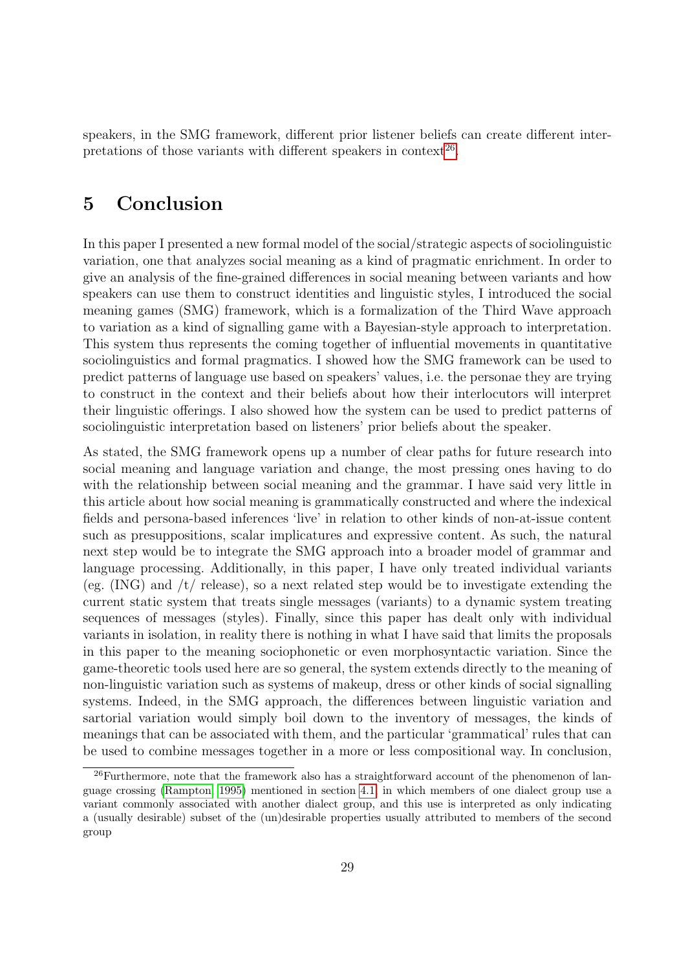speakers, in the SMG framework, different prior listener beliefs can create different inter-pretations of those variants with different speakers in context<sup>[26](#page-28-1)</sup>.

# <span id="page-28-0"></span>5 Conclusion

In this paper I presented a new formal model of the social/strategic aspects of sociolinguistic variation, one that analyzes social meaning as a kind of pragmatic enrichment. In order to give an analysis of the fine-grained differences in social meaning between variants and how speakers can use them to construct identities and linguistic styles, I introduced the social meaning games (SMG) framework, which is a formalization of the Third Wave approach to variation as a kind of signalling game with a Bayesian-style approach to interpretation. This system thus represents the coming together of influential movements in quantitative sociolinguistics and formal pragmatics. I showed how the SMG framework can be used to predict patterns of language use based on speakers' values, i.e. the personae they are trying to construct in the context and their beliefs about how their interlocutors will interpret their linguistic offerings. I also showed how the system can be used to predict patterns of sociolinguistic interpretation based on listeners' prior beliefs about the speaker.

As stated, the SMG framework opens up a number of clear paths for future research into social meaning and language variation and change, the most pressing ones having to do with the relationship between social meaning and the grammar. I have said very little in this article about how social meaning is grammatically constructed and where the indexical fields and persona-based inferences 'live' in relation to other kinds of non-at-issue content such as presuppositions, scalar implicatures and expressive content. As such, the natural next step would be to integrate the SMG approach into a broader model of grammar and language processing. Additionally, in this paper, I have only treated individual variants (eg.  $(ING)$ ) and  $/t$  release), so a next related step would be to investigate extending the current static system that treats single messages (variants) to a dynamic system treating sequences of messages (styles). Finally, since this paper has dealt only with individual variants in isolation, in reality there is nothing in what I have said that limits the proposals in this paper to the meaning sociophonetic or even morphosyntactic variation. Since the game-theoretic tools used here are so general, the system extends directly to the meaning of non-linguistic variation such as systems of makeup, dress or other kinds of social signalling systems. Indeed, in the SMG approach, the differences between linguistic variation and sartorial variation would simply boil down to the inventory of messages, the kinds of meanings that can be associated with them, and the particular 'grammatical' rules that can be used to combine messages together in a more or less compositional way. In conclusion,

<span id="page-28-1"></span> $26$ Furthermore, note that the framework also has a straightforward account of the phenomenon of language crossing [\(Rampton, 1995\)](#page-35-13) mentioned in section [4.1,](#page-13-2) in which members of one dialect group use a variant commonly associated with another dialect group, and this use is interpreted as only indicating a (usually desirable) subset of the (un)desirable properties usually attributed to members of the second group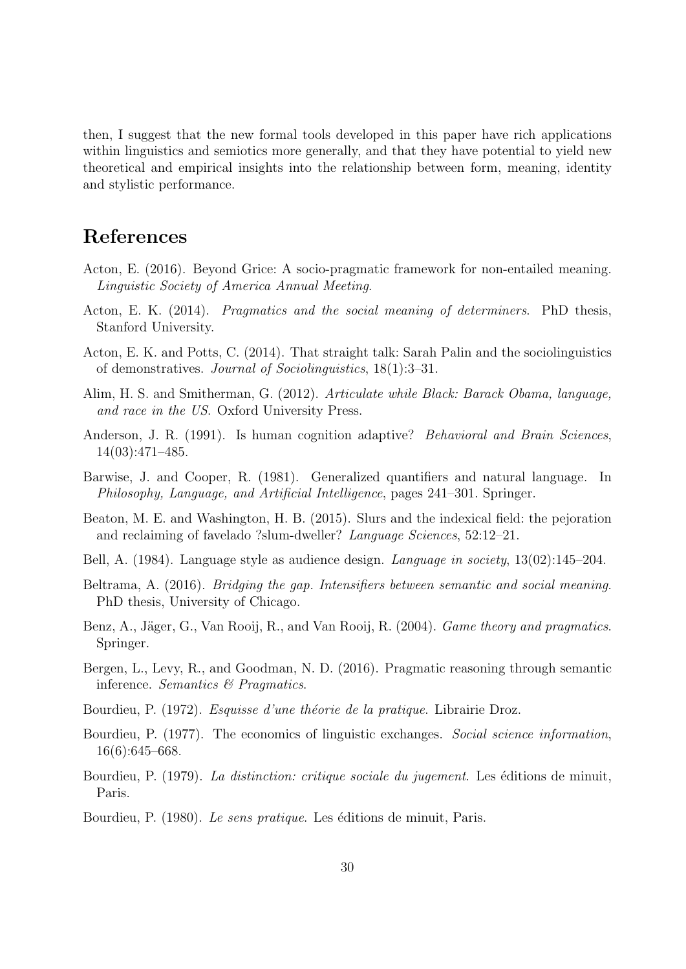then, I suggest that the new formal tools developed in this paper have rich applications within linguistics and semiotics more generally, and that they have potential to yield new theoretical and empirical insights into the relationship between form, meaning, identity and stylistic performance.

# References

- <span id="page-29-4"></span>Acton, E. (2016). Beyond Grice: A socio-pragmatic framework for non-entailed meaning. Linguistic Society of America Annual Meeting.
- <span id="page-29-2"></span>Acton, E. K. (2014). *Pragmatics and the social meaning of determiners*. PhD thesis, Stanford University.
- <span id="page-29-3"></span>Acton, E. K. and Potts, C. (2014). That straight talk: Sarah Palin and the sociolinguistics of demonstratives. Journal of Sociolinguistics, 18(1):3–31.
- <span id="page-29-12"></span>Alim, H. S. and Smitherman, G. (2012). Articulate while Black: Barack Obama, language, and race in the US. Oxford University Press.
- <span id="page-29-6"></span>Anderson, J. R. (1991). Is human cognition adaptive? *Behavioral and Brain Sciences*, 14(03):471–485.
- <span id="page-29-11"></span>Barwise, J. and Cooper, R. (1981). Generalized quantifiers and natural language. In Philosophy, Language, and Artificial Intelligence, pages 241–301. Springer.
- <span id="page-29-10"></span>Beaton, M. E. and Washington, H. B. (2015). Slurs and the indexical field: the pejoration and reclaiming of favelado ?slum-dweller? Language Sciences, 52:12–21.
- <span id="page-29-7"></span>Bell, A. (1984). Language style as audience design. Language in society, 13(02):145–204.
- <span id="page-29-5"></span>Beltrama, A. (2016). Bridging the gap. Intensifiers between semantic and social meaning. PhD thesis, University of Chicago.
- <span id="page-29-1"></span>Benz, A., Jäger, G., Van Rooij, R., and Van Rooij, R. (2004). *Game theory and pragmatics*. Springer.
- <span id="page-29-8"></span>Bergen, L., Levy, R., and Goodman, N. D. (2016). Pragmatic reasoning through semantic inference. Semantics & Pragmatics.
- <span id="page-29-13"></span>Bourdieu, P. (1972). *Esquisse d'une théorie de la pratique*. Librairie Droz.
- <span id="page-29-0"></span>Bourdieu, P. (1977). The economics of linguistic exchanges. Social science information, 16(6):645–668.
- <span id="page-29-14"></span>Bourdieu, P. (1979). La distinction: critique sociale du jugement. Les éditions de minuit, Paris.
- <span id="page-29-9"></span>Bourdieu, P. (1980). Le sens pratique. Les éditions de minuit, Paris.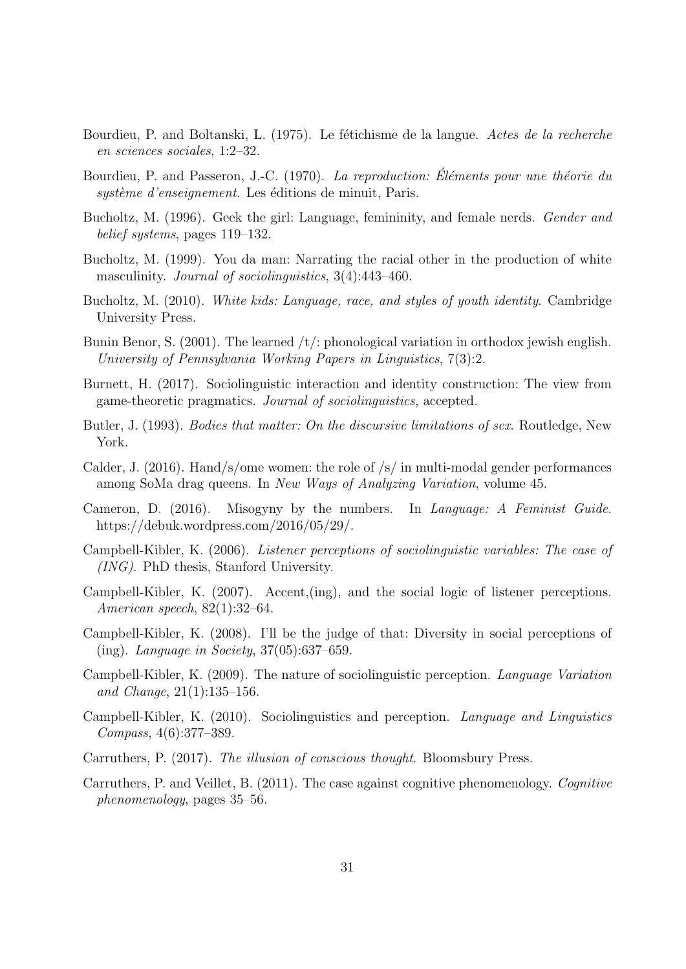- <span id="page-30-7"></span>Bourdieu, P. and Boltanski, L. (1975). Le fétichisme de la langue. Actes de la recherche en sciences sociales, 1:2–32.
- <span id="page-30-15"></span>Bourdieu, P. and Passeron, J.-C. (1970). La reproduction: Éléments pour une théorie du système d'enseignement. Les éditions de minuit, Paris.
- <span id="page-30-4"></span>Bucholtz, M. (1996). Geek the girl: Language, femininity, and female nerds. *Gender and* belief systems, pages 119–132.
- <span id="page-30-8"></span>Bucholtz, M. (1999). You da man: Narrating the racial other in the production of white masculinity. *Journal of sociolinguistics*, 3(4):443–460.
- <span id="page-30-9"></span>Bucholtz, M. (2010). White kids: Language, race, and styles of youth identity. Cambridge University Press.
- <span id="page-30-3"></span>Bunin Benor, S. (2001). The learned  $/t$ : phonological variation in orthodox jewish english. University of Pennsylvania Working Papers in Linguistics, 7(3):2.
- <span id="page-30-11"></span>Burnett, H. (2017). Sociolinguistic interaction and identity construction: The view from game-theoretic pragmatics. Journal of sociolinguistics, accepted.
- <span id="page-30-14"></span>Butler, J. (1993). Bodies that matter: On the discursive limitations of sex. Routledge, New York.
- <span id="page-30-5"></span>Calder, J. (2016). Hand/s/ome women: the role of  $\frac{s}{\sin \theta}$  in multi-modal gender performances among SoMa drag queens. In New Ways of Analyzing Variation, volume 45.
- <span id="page-30-6"></span>Cameron, D. (2016). Misogyny by the numbers. In Language: A Feminist Guide. https://debuk.wordpress.com/2016/05/29/.
- <span id="page-30-0"></span>Campbell-Kibler, K. (2006). Listener perceptions of sociolinguistic variables: The case of (ING). PhD thesis, Stanford University.
- <span id="page-30-1"></span>Campbell-Kibler, K. (2007). Accent,(ing), and the social logic of listener perceptions. American speech, 82(1):32–64.
- <span id="page-30-2"></span>Campbell-Kibler, K. (2008). I'll be the judge of that: Diversity in social perceptions of (ing). Language in Society, 37(05):637–659.
- <span id="page-30-10"></span>Campbell-Kibler, K. (2009). The nature of sociolinguistic perception. Language Variation and Change, 21(1):135–156.
- <span id="page-30-16"></span>Campbell-Kibler, K. (2010). Sociolinguistics and perception. Language and Linguistics Compass, 4(6):377–389.
- <span id="page-30-13"></span>Carruthers, P. (2017). The illusion of conscious thought. Bloomsbury Press.
- <span id="page-30-12"></span>Carruthers, P. and Veillet, B. (2011). The case against cognitive phenomenology. Cognitive phenomenology, pages 35–56.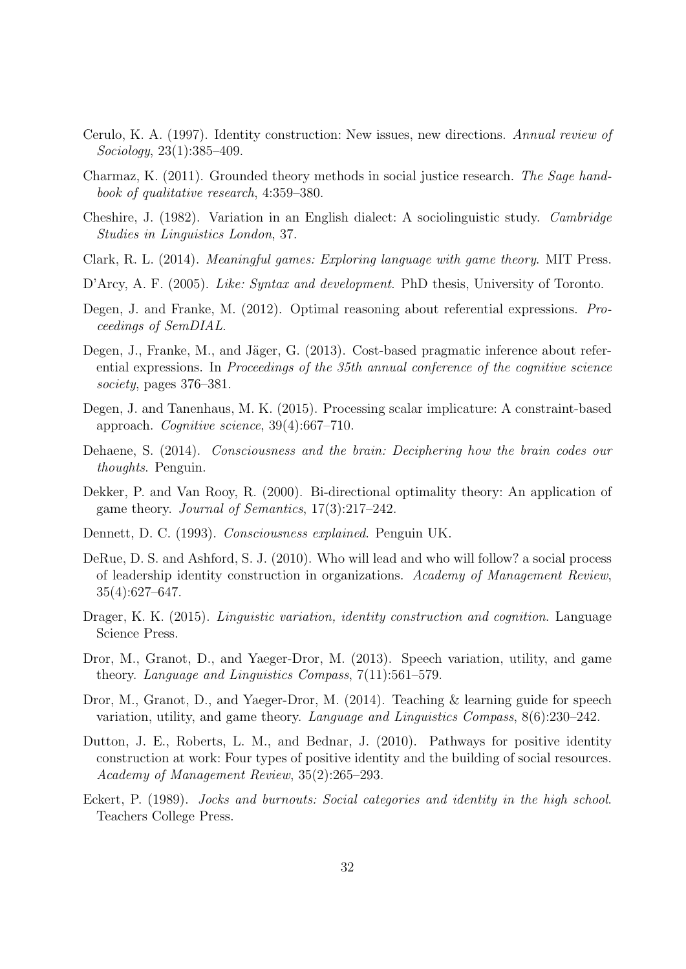- <span id="page-31-6"></span>Cerulo, K. A. (1997). Identity construction: New issues, new directions. Annual review of Sociology, 23(1):385–409.
- <span id="page-31-9"></span>Charmaz, K. (2011). Grounded theory methods in social justice research. The Sage handbook of qualitative research, 4:359–380.
- <span id="page-31-4"></span>Cheshire, J. (1982). Variation in an English dialect: A sociolinguistic study. Cambridge Studies in Linguistics London, 37.
- <span id="page-31-2"></span>Clark, R. L. (2014). Meaningful games: Exploring language with game theory. MIT Press.
- <span id="page-31-3"></span>D'Arcy, A. F. (2005). Like: Syntax and development. PhD thesis, University of Toronto.
- <span id="page-31-11"></span>Degen, J. and Franke, M. (2012). Optimal reasoning about referential expressions. *Pro*ceedings of SemDIAL.
- <span id="page-31-15"></span>Degen, J., Franke, M., and Jäger, G. (2013). Cost-based pragmatic inference about referential expressions. In Proceedings of the 35th annual conference of the cognitive science society, pages 376–381.
- <span id="page-31-12"></span>Degen, J. and Tanenhaus, M. K. (2015). Processing scalar implicature: A constraint-based approach. Cognitive science, 39(4):667–710.
- <span id="page-31-16"></span>Dehaene, S. (2014). Consciousness and the brain: Deciphering how the brain codes our thoughts. Penguin.
- <span id="page-31-13"></span>Dekker, P. and Van Rooy, R. (2000). Bi-directional optimality theory: An application of game theory. Journal of Semantics, 17(3):217–242.
- <span id="page-31-10"></span>Dennett, D. C. (1993). Consciousness explained. Penguin UK.
- <span id="page-31-7"></span>DeRue, D. S. and Ashford, S. J. (2010). Who will lead and who will follow? a social process of leadership identity construction in organizations. Academy of Management Review, 35(4):627–647.
- <span id="page-31-14"></span>Drager, K. K. (2015). *Linguistic variation, identity construction and cognition*. Language Science Press.
- <span id="page-31-0"></span>Dror, M., Granot, D., and Yaeger-Dror, M. (2013). Speech variation, utility, and game theory. Language and Linguistics Compass, 7(11):561–579.
- <span id="page-31-1"></span>Dror, M., Granot, D., and Yaeger-Dror, M. (2014). Teaching & learning guide for speech variation, utility, and game theory. Language and Linguistics Compass, 8(6):230–242.
- <span id="page-31-8"></span>Dutton, J. E., Roberts, L. M., and Bednar, J. (2010). Pathways for positive identity construction at work: Four types of positive identity and the building of social resources. Academy of Management Review, 35(2):265–293.
- <span id="page-31-5"></span>Eckert, P. (1989). Jocks and burnouts: Social categories and identity in the high school. Teachers College Press.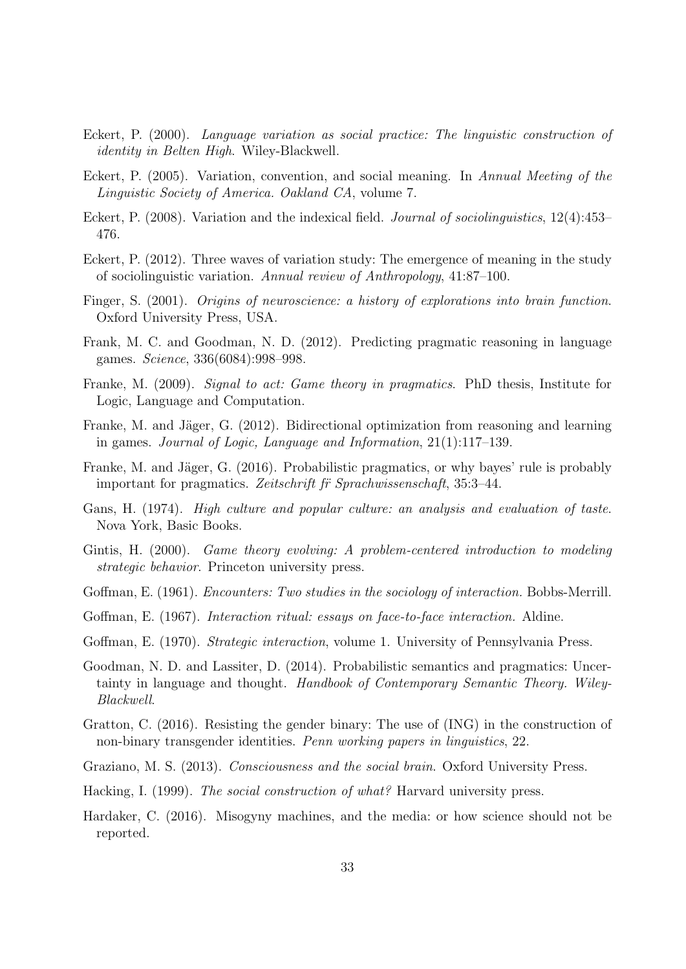- <span id="page-32-9"></span>Eckert, P. (2000). Language variation as social practice: The linguistic construction of identity in Belten High. Wiley-Blackwell.
- <span id="page-32-7"></span>Eckert, P. (2005). Variation, convention, and social meaning. In Annual Meeting of the Linguistic Society of America. Oakland CA, volume 7.
- <span id="page-32-6"></span>Eckert, P. (2008). Variation and the indexical field. Journal of sociolinguistics, 12(4):453– 476.
- <span id="page-32-3"></span>Eckert, P. (2012). Three waves of variation study: The emergence of meaning in the study of sociolinguistic variation. Annual review of Anthropology, 41:87–100.
- <span id="page-32-17"></span>Finger, S. (2001). Origins of neuroscience: a history of explorations into brain function. Oxford University Press, USA.
- <span id="page-32-13"></span>Frank, M. C. and Goodman, N. D. (2012). Predicting pragmatic reasoning in language games. Science, 336(6084):998–998.
- <span id="page-32-12"></span>Franke, M. (2009). Signal to act: Game theory in pragmatics. PhD thesis, Institute for Logic, Language and Computation.
- <span id="page-32-16"></span>Franke, M. and Jäger, G. (2012). Bidirectional optimization from reasoning and learning in games. Journal of Logic, Language and Information, 21(1):117–139.
- <span id="page-32-5"></span>Franke, M. and Jäger, G. (2016). Probabilistic pragmatics, or why bayes' rule is probably important for pragmatics. Zeitschrift fr Sprachwissenschaft, 35:3–44.
- <span id="page-32-18"></span>Gans, H. (1974). High culture and popular culture: an analysis and evaluation of taste. Nova York, Basic Books.
- <span id="page-32-15"></span>Gintis, H. (2000). Game theory evolving: A problem-centered introduction to modeling strategic behavior. Princeton university press.
- <span id="page-32-0"></span>Goffman, E. (1961). *Encounters: Two studies in the sociology of interaction*. Bobbs-Merrill.
- <span id="page-32-1"></span>Goffman, E. (1967). Interaction ritual: essays on face-to-face interaction. Aldine.
- <span id="page-32-2"></span>Goffman, E. (1970). Strategic interaction, volume 1. University of Pennsylvania Press.
- <span id="page-32-4"></span>Goodman, N. D. and Lassiter, D. (2014). Probabilistic semantics and pragmatics: Uncertainty in language and thought. Handbook of Contemporary Semantic Theory. Wiley-Blackwell.
- <span id="page-32-8"></span>Gratton, C. (2016). Resisting the gender binary: The use of (ING) in the construction of non-binary transgender identities. Penn working papers in linguistics, 22.
- <span id="page-32-14"></span>Graziano, M. S. (2013). Consciousness and the social brain. Oxford University Press.
- <span id="page-32-10"></span>Hacking, I. (1999). The social construction of what? Harvard university press.
- <span id="page-32-11"></span>Hardaker, C. (2016). Misogyny machines, and the media: or how science should not be reported.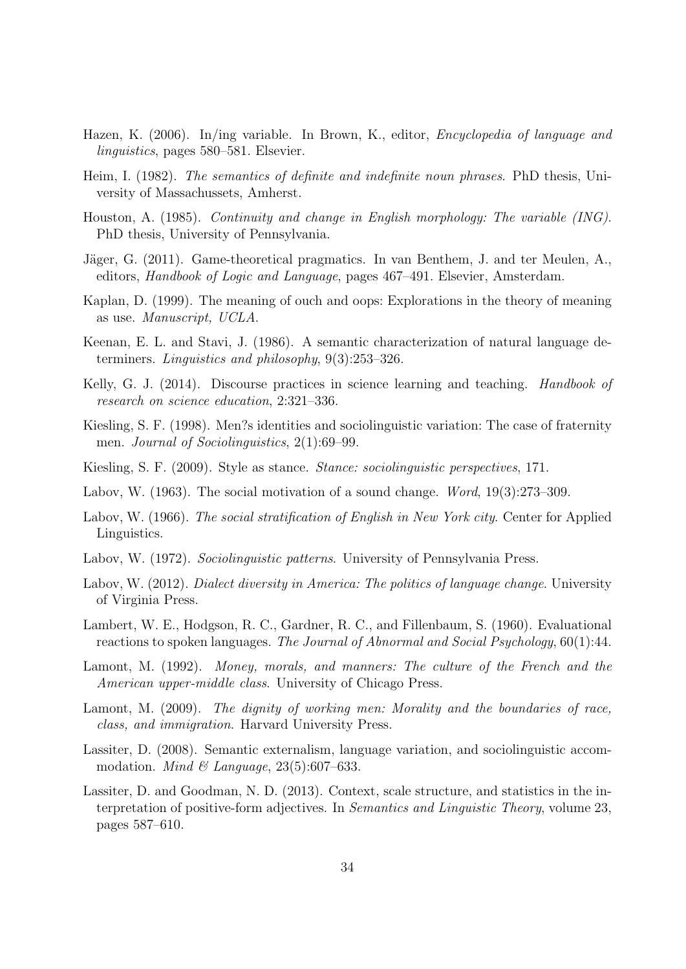- <span id="page-33-13"></span>Hazen, K. (2006). In/ing variable. In Brown, K., editor, Encyclopedia of language and linguistics, pages 580–581. Elsevier.
- <span id="page-33-11"></span>Heim, I. (1982). The semantics of definite and indefinite noun phrases. PhD thesis, University of Massachussets, Amherst.
- <span id="page-33-14"></span>Houston, A. (1985). Continuity and change in English morphology: The variable (ING). PhD thesis, University of Pennsylvania.
- <span id="page-33-2"></span>Jäger, G. (2011). Game-theoretical pragmatics. In van Benthem, J. and ter Meulen, A., editors, Handbook of Logic and Language, pages 467–491. Elsevier, Amsterdam.
- <span id="page-33-5"></span>Kaplan, D. (1999). The meaning of ouch and oops: Explorations in the theory of meaning as use. Manuscript, UCLA.
- <span id="page-33-15"></span>Keenan, E. L. and Stavi, J. (1986). A semantic characterization of natural language determiners. Linguistics and philosophy, 9(3):253–326.
- <span id="page-33-10"></span>Kelly, G. J. (2014). Discourse practices in science learning and teaching. *Handbook of* research on science education, 2:321–336.
- <span id="page-33-7"></span>Kiesling, S. F. (1998). Men?s identities and sociolinguistic variation: The case of fraternity men. Journal of Sociolinguistics, 2(1):69–99.
- <span id="page-33-8"></span>Kiesling, S. F. (2009). Style as stance. Stance: sociolinguistic perspectives, 171.
- <span id="page-33-0"></span>Labov, W. (1963). The social motivation of a sound change. Word, 19(3):273–309.
- <span id="page-33-1"></span>Labov, W. (1966). The social stratification of English in New York city. Center for Applied Linguistics.
- <span id="page-33-9"></span>Labov, W. (1972). Sociolinguistic patterns. University of Pennsylvania Press.
- <span id="page-33-6"></span>Labov, W. (2012). Dialect diversity in America: The politics of language change. University of Virginia Press.
- <span id="page-33-4"></span>Lambert, W. E., Hodgson, R. C., Gardner, R. C., and Fillenbaum, S. (1960). Evaluational reactions to spoken languages. The Journal of Abnormal and Social Psychology, 60(1):44.
- <span id="page-33-16"></span>Lamont, M. (1992). Money, morals, and manners: The culture of the French and the American upper-middle class. University of Chicago Press.
- <span id="page-33-17"></span>Lamont, M. (2009). The dignity of working men: Morality and the boundaries of race, class, and immigration. Harvard University Press.
- <span id="page-33-3"></span>Lassiter, D. (2008). Semantic externalism, language variation, and sociolinguistic accommodation. *Mind & Language*,  $23(5):607-633$ .
- <span id="page-33-12"></span>Lassiter, D. and Goodman, N. D. (2013). Context, scale structure, and statistics in the interpretation of positive-form adjectives. In Semantics and Linguistic Theory, volume 23, pages 587–610.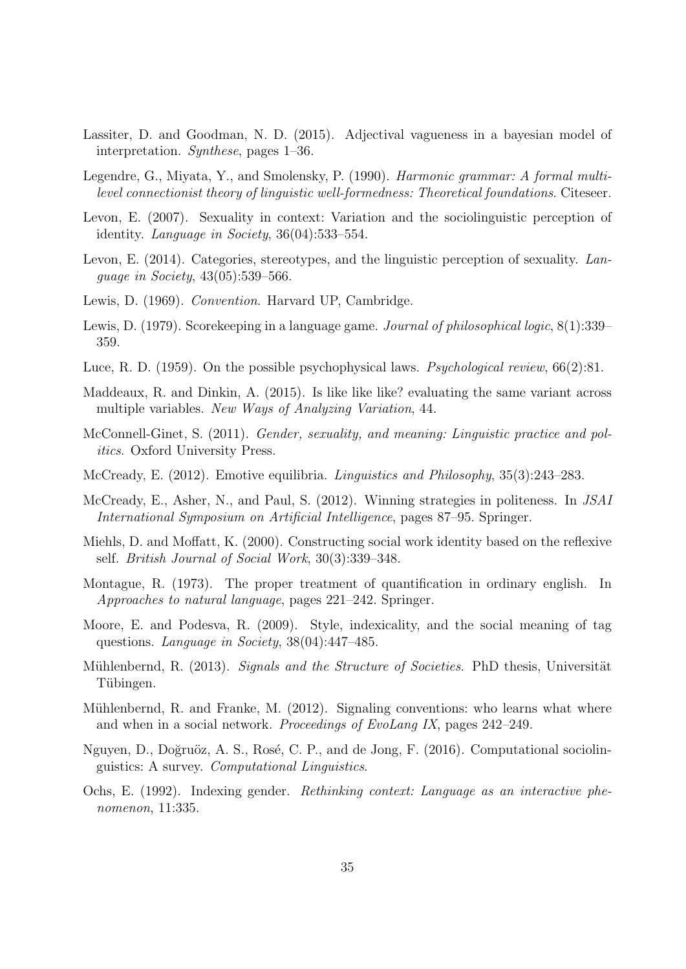- <span id="page-34-15"></span>Lassiter, D. and Goodman, N. D. (2015). Adjectival vagueness in a bayesian model of interpretation. Synthese, pages 1–36.
- <span id="page-34-11"></span>Legendre, G., Miyata, Y., and Smolensky, P. (1990). Harmonic grammar: A formal multilevel connectionist theory of linguistic well-formedness: Theoretical foundations. Citeseer.
- <span id="page-34-16"></span>Levon, E. (2007). Sexuality in context: Variation and the sociolinguistic perception of identity. Language in Society, 36(04):533–554.
- <span id="page-34-17"></span>Levon, E. (2014). Categories, stereotypes, and the linguistic perception of sexuality. Language in Society, 43(05):539–566.
- <span id="page-34-0"></span>Lewis, D. (1969). Convention. Harvard UP, Cambridge.
- <span id="page-34-10"></span>Lewis, D. (1979). Scorekeeping in a language game. Journal of philosophical logic, 8(1):339– 359.
- <span id="page-34-14"></span>Luce, R. D. (1959). On the possible psychophysical laws. *Psychological review*, 66(2):81.
- <span id="page-34-5"></span>Maddeaux, R. and Dinkin, A. (2015). Is like like like? evaluating the same variant across multiple variables. New Ways of Analyzing Variation, 44.
- <span id="page-34-6"></span>McConnell-Ginet, S. (2011). Gender, sexuality, and meaning: Linguistic practice and politics. Oxford University Press.
- <span id="page-34-3"></span>McCready, E. (2012). Emotive equilibria. Linguistics and Philosophy, 35(3):243–283.
- <span id="page-34-4"></span>McCready, E., Asher, N., and Paul, S. (2012). Winning strategies in politeness. In JSAI International Symposium on Artificial Intelligence, pages 87–95. Springer.
- <span id="page-34-8"></span>Miehls, D. and Moffatt, K. (2000). Constructing social work identity based on the reflexive self. British Journal of Social Work, 30(3):339–348.
- <span id="page-34-13"></span>Montague, R. (1973). The proper treatment of quantification in ordinary english. In Approaches to natural language, pages 221–242. Springer.
- <span id="page-34-12"></span>Moore, E. and Podesva, R. (2009). Style, indexicality, and the social meaning of tag questions. Language in Society, 38(04):447–485.
- <span id="page-34-2"></span>Mühlenbernd, R. (2013). Signals and the Structure of Societies. PhD thesis, Universität Tübingen.
- <span id="page-34-1"></span>Mühlenbernd, R. and Franke, M.  $(2012)$ . Signaling conventions: who learns what where and when in a social network. Proceedings of EvoLang IX, pages 242–249.
- <span id="page-34-9"></span>Nguyen, D., Doğruöz, A. S., Rosé, C. P., and de Jong, F. (2016). Computational sociolinguistics: A survey. Computational Linguistics.
- <span id="page-34-7"></span>Ochs, E. (1992). Indexing gender. Rethinking context: Language as an interactive phenomenon, 11:335.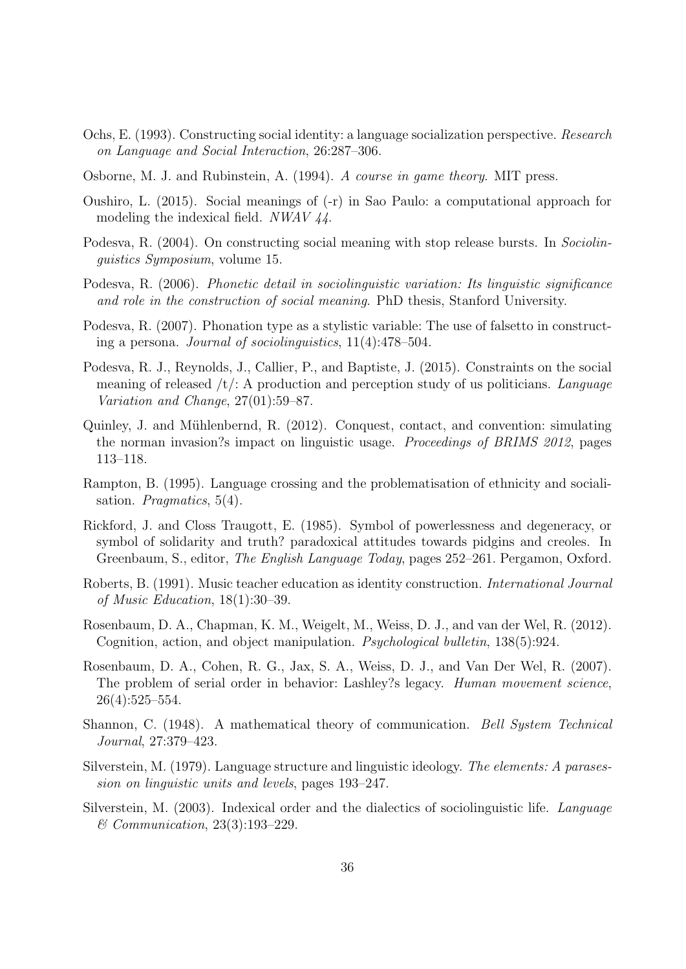- <span id="page-35-7"></span>Ochs, E. (1993). Constructing social identity: a language socialization perspective. Research on Language and Social Interaction, 26:287–306.
- <span id="page-35-1"></span>Osborne, M. J. and Rubinstein, A. (1994). A course in game theory. MIT press.
- <span id="page-35-14"></span>Oushiro, L. (2015). Social meanings of (-r) in Sao Paulo: a computational approach for modeling the indexical field. NWAV 44.
- <span id="page-35-5"></span>Podesva, R. (2004). On constructing social meaning with stop release bursts. In Sociolinguistics Symposium, volume 15.
- <span id="page-35-4"></span>Podesva, R. (2006). Phonetic detail in sociolinguistic variation: Its linguistic significance and role in the construction of social meaning. PhD thesis, Stanford University.
- <span id="page-35-6"></span>Podesva, R. (2007). Phonation type as a stylistic variable: The use of falsetto in constructing a persona. Journal of sociolinguistics, 11(4):478–504.
- <span id="page-35-2"></span>Podesva, R. J., Reynolds, J., Callier, P., and Baptiste, J. (2015). Constraints on the social meaning of released  $/t$ : A production and perception study of us politicians. Language Variation and Change, 27(01):59–87.
- <span id="page-35-0"></span>Quinley, J. and Mühlenbernd, R.  $(2012)$ . Conquest, contact, and convention: simulating the norman invasion?s impact on linguistic usage. Proceedings of BRIMS 2012, pages 113–118.
- <span id="page-35-13"></span>Rampton, B. (1995). Language crossing and the problematisation of ethnicity and socialisation. *Pragmatics*, 5(4).
- <span id="page-35-3"></span>Rickford, J. and Closs Traugott, E. (1985). Symbol of powerlessness and degeneracy, or symbol of solidarity and truth? paradoxical attitudes towards pidgins and creoles. In Greenbaum, S., editor, The English Language Today, pages 252–261. Pergamon, Oxford.
- <span id="page-35-10"></span>Roberts, B. (1991). Music teacher education as identity construction. International Journal of Music Education, 18(1):30–39.
- <span id="page-35-12"></span>Rosenbaum, D. A., Chapman, K. M., Weigelt, M., Weiss, D. J., and van der Wel, R. (2012). Cognition, action, and object manipulation. Psychological bulletin, 138(5):924.
- <span id="page-35-11"></span>Rosenbaum, D. A., Cohen, R. G., Jax, S. A., Weiss, D. J., and Van Der Wel, R. (2007). The problem of serial order in behavior: Lashley?s legacy. Human movement science, 26(4):525–554.
- <span id="page-35-15"></span>Shannon, C. (1948). A mathematical theory of communication. Bell System Technical Journal, 27:379–423.
- <span id="page-35-8"></span>Silverstein, M. (1979). Language structure and linguistic ideology. The elements: A parasession on linguistic units and levels, pages 193–247.
- <span id="page-35-9"></span>Silverstein, M. (2003). Indexical order and the dialectics of sociolinguistic life. Language & Communication, 23(3):193–229.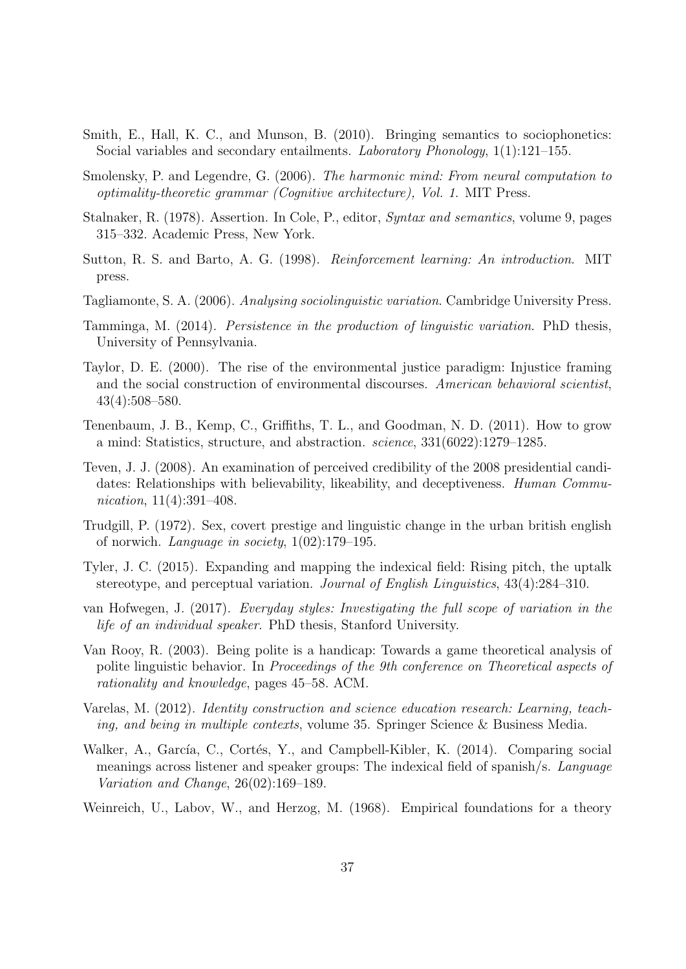- <span id="page-36-2"></span>Smith, E., Hall, K. C., and Munson, B. (2010). Bringing semantics to sociophonetics: Social variables and secondary entailments. Laboratory Phonology, 1(1):121–155.
- <span id="page-36-10"></span>Smolensky, P. and Legendre, G. (2006). The harmonic mind: From neural computation to optimality-theoretic grammar (Cognitive architecture), Vol. 1. MIT Press.
- <span id="page-36-8"></span>Stalnaker, R. (1978). Assertion. In Cole, P., editor, Syntax and semantics, volume 9, pages 315–332. Academic Press, New York.
- <span id="page-36-13"></span>Sutton, R. S. and Barto, A. G. (1998). Reinforcement learning: An introduction. MIT press.
- <span id="page-36-15"></span>Tagliamonte, S. A. (2006). Analysing sociolinguistic variation. Cambridge University Press.
- <span id="page-36-9"></span>Tamminga, M. (2014). Persistence in the production of linguistic variation. PhD thesis, University of Pennsylvania.
- <span id="page-36-6"></span>Taylor, D. E. (2000). The rise of the environmental justice paradigm: Injustice framing and the social construction of environmental discourses. American behavioral scientist, 43(4):508–580.
- <span id="page-36-7"></span>Tenenbaum, J. B., Kemp, C., Griffiths, T. L., and Goodman, N. D. (2011). How to grow a mind: Statistics, structure, and abstraction. science, 331(6022):1279–1285.
- <span id="page-36-14"></span>Teven, J. J. (2008). An examination of perceived credibility of the 2008 presidential candidates: Relationships with believability, likeability, and deceptiveness. Human Communication, 11(4):391–408.
- <span id="page-36-3"></span>Trudgill, P. (1972). Sex, covert prestige and linguistic change in the urban british english of norwich. Language in society, 1(02):179–195.
- <span id="page-36-12"></span>Tyler, J. C. (2015). Expanding and mapping the indexical field: Rising pitch, the uptalk stereotype, and perceptual variation. Journal of English Linguistics, 43(4):284–310.
- <span id="page-36-4"></span>van Hofwegen, J. (2017). Everyday styles: Investigating the full scope of variation in the life of an individual speaker. PhD thesis, Stanford University.
- <span id="page-36-1"></span>Van Rooy, R. (2003). Being polite is a handicap: Towards a game theoretical analysis of polite linguistic behavior. In Proceedings of the 9th conference on Theoretical aspects of rationality and knowledge, pages 45–58. ACM.
- <span id="page-36-5"></span>Varelas, M. (2012). Identity construction and science education research: Learning, teaching, and being in multiple contexts, volume 35. Springer Science & Business Media.
- <span id="page-36-11"></span>Walker, A., García, C., Cortés, Y., and Campbell-Kibler, K. (2014). Comparing social meanings across listener and speaker groups: The indexical field of spanish/s. Language Variation and Change, 26(02):169–189.
- <span id="page-36-0"></span>Weinreich, U., Labov, W., and Herzog, M. (1968). Empirical foundations for a theory